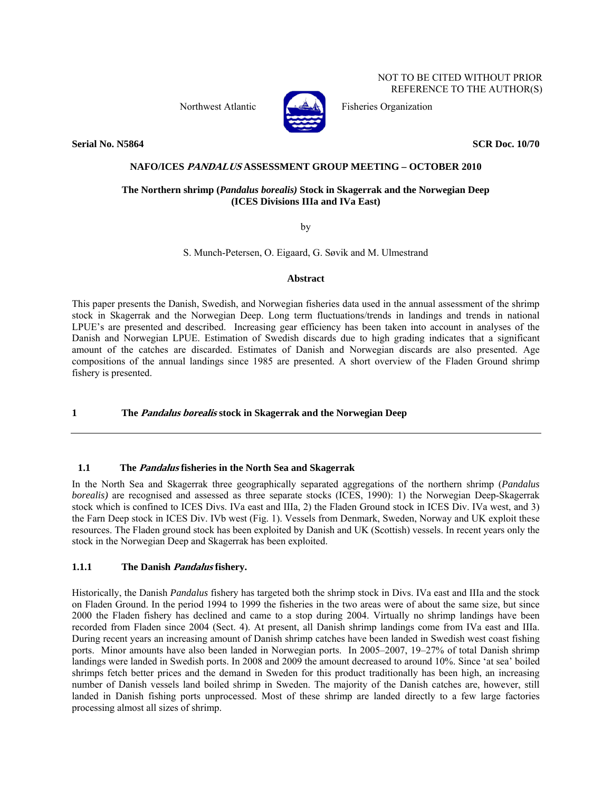NOT TO BE CITED WITHOUT PRIOR REFERENCE TO THE AUTHOR(S)



Northwest Atlantic Fisheries Organization

**Serial No. N5864** SCR Doc. 10/70

### **NAFO/ICES PANDALUS ASSESSMENT GROUP MEETING – OCTOBER 2010**

#### **The Northern shrimp (***Pandalus borealis)* **Stock in Skagerrak and the Norwegian Deep (ICES Divisions IIIa and IVa East)**

by

S. Munch-Petersen, O. Eigaard, G. Søvik and M. Ulmestrand

#### **Abstract**

This paper presents the Danish, Swedish, and Norwegian fisheries data used in the annual assessment of the shrimp stock in Skagerrak and the Norwegian Deep. Long term fluctuations/trends in landings and trends in national LPUE's are presented and described. Increasing gear efficiency has been taken into account in analyses of the Danish and Norwegian LPUE. Estimation of Swedish discards due to high grading indicates that a significant amount of the catches are discarded. Estimates of Danish and Norwegian discards are also presented. Age compositions of the annual landings since 1985 are presented. A short overview of the Fladen Ground shrimp fishery is presented.

#### **1 The Pandalus borealis stock in Skagerrak and the Norwegian Deep**

#### **1.1 The Pandalus fisheries in the North Sea and Skagerrak**

In the North Sea and Skagerrak three geographically separated aggregations of the northern shrimp (*Pandalus borealis*) are recognised and assessed as three separate stocks (ICES, 1990): 1) the Norwegian Deep-Skagerrak stock which is confined to ICES Divs. IVa east and IIIa, 2) the Fladen Ground stock in ICES Div. IVa west, and 3) the Farn Deep stock in ICES Div. IVb west (Fig. 1). Vessels from Denmark, Sweden, Norway and UK exploit these resources. The Fladen ground stock has been exploited by Danish and UK (Scottish) vessels. In recent years only the stock in the Norwegian Deep and Skagerrak has been exploited.

#### **1.1.1 The Danish Pandalus fishery.**

Historically, the Danish *Pandalus* fishery has targeted both the shrimp stock in Divs. IVa east and IIIa and the stock on Fladen Ground. In the period 1994 to 1999 the fisheries in the two areas were of about the same size, but since 2000 the Fladen fishery has declined and came to a stop during 2004. Virtually no shrimp landings have been recorded from Fladen since 2004 (Sect. 4). At present, all Danish shrimp landings come from IVa east and IIIa. During recent years an increasing amount of Danish shrimp catches have been landed in Swedish west coast fishing ports. Minor amounts have also been landed in Norwegian ports. In 2005–2007, 19–27% of total Danish shrimp landings were landed in Swedish ports. In 2008 and 2009 the amount decreased to around 10%. Since 'at sea' boiled shrimps fetch better prices and the demand in Sweden for this product traditionally has been high, an increasing number of Danish vessels land boiled shrimp in Sweden. The majority of the Danish catches are, however, still landed in Danish fishing ports unprocessed. Most of these shrimp are landed directly to a few large factories processing almost all sizes of shrimp.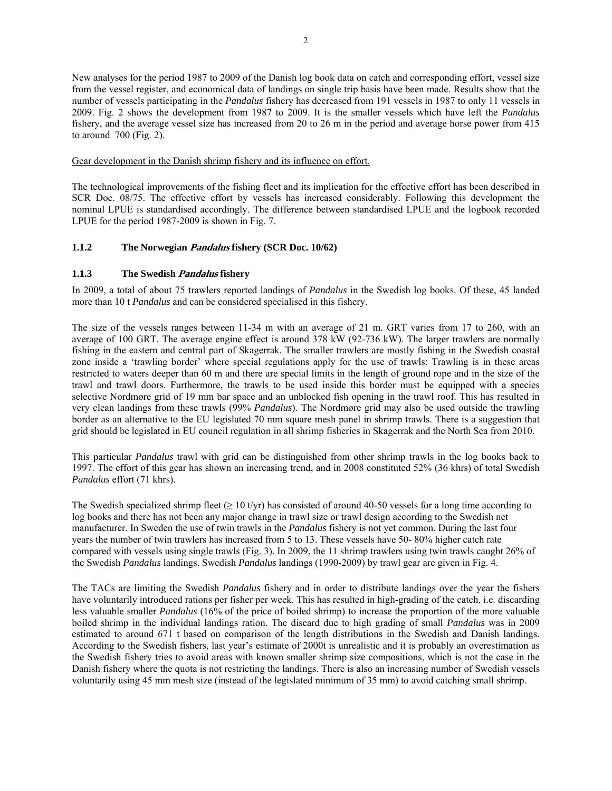New analyses for the period 1987 to 2009 of the Danish log book data on catch and corresponding effort, vessel size from the vessel register, and economical data of landings on single trip basis have been made. Results show that the number of vessels participating in the *Pandalus* fishery has decreased from 191 vessels in 1987 to only 11 vessels in 2009. Fig. 2 shows the development from 1987 to 2009. It is the smaller vessels which have left the *Pandalus* fishery, and the average vessel size has increased from 20 to 26 m in the period and average horse power from 415 to around  $700$  (Fig. 2).

Gear development in the Danish shrimp fishery and its influence on effort.

The technological improvements of the fishing fleet and its implication for the effective effort has been described in SCR Doc. 08/75. The effective effort by vessels has increased considerably. Following this development the nominal LPUE is standardised accordingly. The difference between standardised LPUE and the logbook recorded LPUE for the period 1987-2009 is shown in Fig. 7.

#### **1.1.2 The Norwegian Pandalus fishery (SCR Doc. 10/62)**

#### **1.1.3 The Swedish Pandalus fishery**

In 2009, a total of about 75 trawlers reported landings of *Pandalus* in the Swedish log books. Of these, 45 landed more than 10 t *Pandalus* and can be considered specialised in this fishery.

The size of the vessels ranges between 11-34 m with an average of 21 m. GRT varies from 17 to 260, with an average of 100 GRT. The average engine effect is around 378 kW (92-736 kW). The larger trawlers are normally fishing in the eastern and central part of Skagerrak. The smaller trawlers are mostly fishing in the Swedish coastal zone inside a 'trawling border' where special regulations apply for the use of trawls: Trawling is in these areas restricted to waters deeper than 60 m and there are special limits in the length of ground rope and in the size of the trawl and trawl doors. Furthermore, the trawls to be used inside this border must be equipped with a species selective Nordmøre grid of 19 mm bar space and an unblocked fish opening in the trawl roof. This has resulted in very clean landings from these trawls (99% *Pandalus*). The Nordmøre grid may also be used outside the trawling border as an alternative to the EU legislated 70 mm square mesh panel in shrimp trawls. There is a suggestion that grid should be legislated in EU council regulation in all shrimp fisheries in Skagerrak and the North Sea from 2010.

This particular *Pandalus* trawl with grid can be distinguished from other shrimp trawls in the log books back to 1997. The effort of this gear has shown an increasing trend, and in 2008 constituted 52% (36 khrs) of total Swedish *Pandalus* effort (71 khrs).

The Swedish specialized shrimp fleet ( $\geq 10$  t/yr) has consisted of around 40-50 vessels for a long time according to log books and there has not been any major change in trawl size or trawl design according to the Swedish net manufacturer. In Sweden the use of twin trawls in the *Pandalus* fishery is not yet common. During the last four years the number of twin trawlers has increased from 5 to 13. These vessels have 50- 80% higher catch rate compared with vessels using single trawls (Fig. 3). In 2009, the 11 shrimp trawlers using twin trawls caught 26% of the Swedish *Pandalus* landings. Swedish *Pandalus* landings (1990-2009) by trawl gear are given in Fig. 4.

The TACs are limiting the Swedish *Pandalus* fishery and in order to distribute landings over the year the fishers have voluntarily introduced rations per fisher per week. This has resulted in high-grading of the catch, i.e. discarding less valuable smaller *Pandalus* (16% of the price of boiled shrimp) to increase the proportion of the more valuable boiled shrimp in the individual landings ration. The discard due to high grading of small *Pandalus* was in 2009 estimated to around 671 t based on comparison of the length distributions in the Swedish and Danish landings. According to the Swedish fishers, last year's estimate of 2000t is unrealistic and it is probably an overestimation as the Swedish fishery tries to avoid areas with known smaller shrimp size compositions, which is not the case in the Danish fishery where the quota is not restricting the landings. There is also an increasing number of Swedish vessels voluntarily using 45 mm mesh size (instead of the legislated minimum of 35 mm) to avoid catching small shrimp.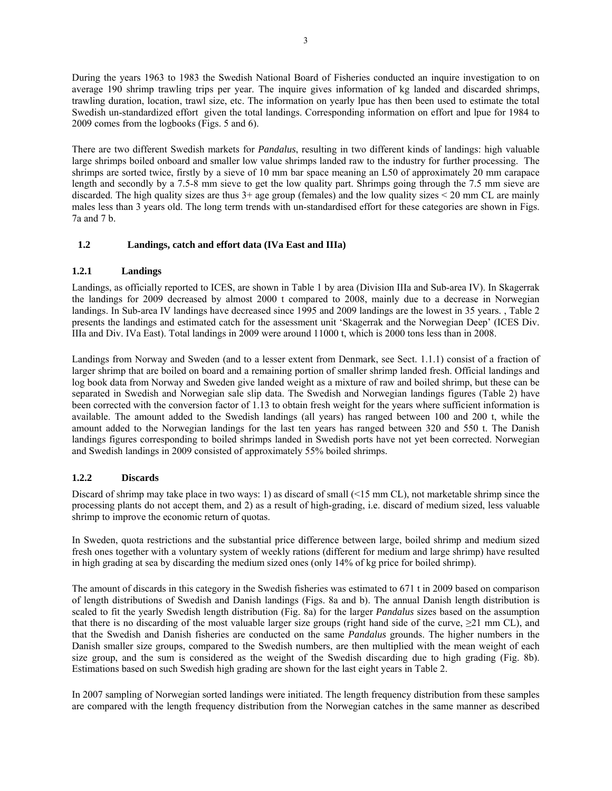During the years 1963 to 1983 the Swedish National Board of Fisheries conducted an inquire investigation to on average 190 shrimp trawling trips per year. The inquire gives information of kg landed and discarded shrimps, trawling duration, location, trawl size, etc. The information on yearly lpue has then been used to estimate the total Swedish un-standardized effort given the total landings. Corresponding information on effort and lpue for 1984 to 2009 comes from the logbooks (Figs. 5 and 6).

There are two different Swedish markets for *Pandalus*, resulting in two different kinds of landings: high valuable large shrimps boiled onboard and smaller low value shrimps landed raw to the industry for further processing. The shrimps are sorted twice, firstly by a sieve of 10 mm bar space meaning an L50 of approximately 20 mm carapace length and secondly by a 7.5-8 mm sieve to get the low quality part. Shrimps going through the 7.5 mm sieve are discarded. The high quality sizes are thus  $3+\text{age group (females)}$  and the low quality sizes < 20 mm CL are mainly males less than 3 years old. The long term trends with un-standardised effort for these categories are shown in Figs. 7a and 7 b.

#### **1.2 Landings, catch and effort data (IVa East and IIIa)**

#### **1.2.1 Landings**

Landings, as officially reported to ICES, are shown in Table 1 by area (Division IIIa and Sub-area IV). In Skagerrak the landings for 2009 decreased by almost 2000 t compared to 2008, mainly due to a decrease in Norwegian landings. In Sub-area IV landings have decreased since 1995 and 2009 landings are the lowest in 35 years. , Table 2 presents the landings and estimated catch for the assessment unit 'Skagerrak and the Norwegian Deep' (ICES Div. IIIa and Div. IVa East). Total landings in 2009 were around 11000 t, which is 2000 tons less than in 2008.

Landings from Norway and Sweden (and to a lesser extent from Denmark, see Sect. 1.1.1) consist of a fraction of larger shrimp that are boiled on board and a remaining portion of smaller shrimp landed fresh. Official landings and log book data from Norway and Sweden give landed weight as a mixture of raw and boiled shrimp, but these can be separated in Swedish and Norwegian sale slip data. The Swedish and Norwegian landings figures (Table 2) have been corrected with the conversion factor of 1.13 to obtain fresh weight for the years where sufficient information is available. The amount added to the Swedish landings (all years) has ranged between 100 and 200 t, while the amount added to the Norwegian landings for the last ten years has ranged between 320 and 550 t. The Danish landings figures corresponding to boiled shrimps landed in Swedish ports have not yet been corrected. Norwegian and Swedish landings in 2009 consisted of approximately 55% boiled shrimps.

#### **1.2.2 Discards**

Discard of shrimp may take place in two ways: 1) as discard of small (<15 mm CL), not marketable shrimp since the processing plants do not accept them, and 2) as a result of high-grading, i.e. discard of medium sized, less valuable shrimp to improve the economic return of quotas.

In Sweden, quota restrictions and the substantial price difference between large, boiled shrimp and medium sized fresh ones together with a voluntary system of weekly rations (different for medium and large shrimp) have resulted in high grading at sea by discarding the medium sized ones (only 14% of kg price for boiled shrimp).

The amount of discards in this category in the Swedish fisheries was estimated to 671 t in 2009 based on comparison of length distributions of Swedish and Danish landings (Figs. 8a and b). The annual Danish length distribution is scaled to fit the yearly Swedish length distribution (Fig. 8a) for the larger *Pandalus* sizes based on the assumption that there is no discarding of the most valuable larger size groups (right hand side of the curve,  $\geq$ 21 mm CL), and that the Swedish and Danish fisheries are conducted on the same *Pandalus* grounds. The higher numbers in the Danish smaller size groups, compared to the Swedish numbers, are then multiplied with the mean weight of each size group, and the sum is considered as the weight of the Swedish discarding due to high grading (Fig. 8b). Estimations based on such Swedish high grading are shown for the last eight years in Table 2.

In 2007 sampling of Norwegian sorted landings were initiated. The length frequency distribution from these samples are compared with the length frequency distribution from the Norwegian catches in the same manner as described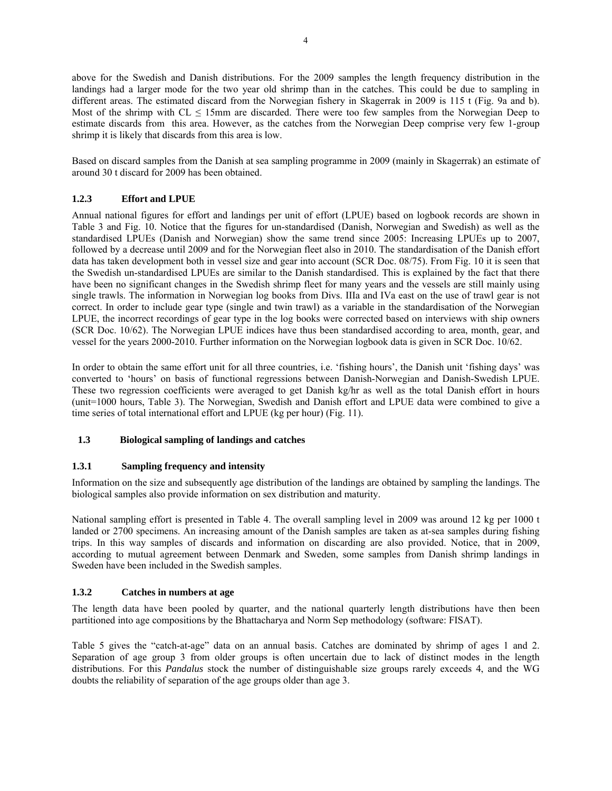above for the Swedish and Danish distributions. For the 2009 samples the length frequency distribution in the landings had a larger mode for the two year old shrimp than in the catches. This could be due to sampling in different areas. The estimated discard from the Norwegian fishery in Skagerrak in 2009 is 115 t (Fig. 9a and b). Most of the shrimp with  $CL \leq 15$ mm are discarded. There were too few samples from the Norwegian Deep to estimate discards from this area. However, as the catches from the Norwegian Deep comprise very few 1-group shrimp it is likely that discards from this area is low.

Based on discard samples from the Danish at sea sampling programme in 2009 (mainly in Skagerrak) an estimate of around 30 t discard for 2009 has been obtained.

#### **1.2.3 Effort and LPUE**

Annual national figures for effort and landings per unit of effort (LPUE) based on logbook records are shown in Table 3 and Fig. 10. Notice that the figures for un-standardised (Danish, Norwegian and Swedish) as well as the standardised LPUEs (Danish and Norwegian) show the same trend since 2005: Increasing LPUEs up to 2007, followed by a decrease until 2009 and for the Norwegian fleet also in 2010. The standardisation of the Danish effort data has taken development both in vessel size and gear into account (SCR Doc. 08/75). From Fig. 10 it is seen that the Swedish un-standardised LPUEs are similar to the Danish standardised. This is explained by the fact that there have been no significant changes in the Swedish shrimp fleet for many years and the vessels are still mainly using single trawls. The information in Norwegian log books from Divs. IIIa and IVa east on the use of trawl gear is not correct. In order to include gear type (single and twin trawl) as a variable in the standardisation of the Norwegian LPUE, the incorrect recordings of gear type in the log books were corrected based on interviews with ship owners (SCR Doc. 10/62). The Norwegian LPUE indices have thus been standardised according to area, month, gear, and vessel for the years 2000-2010. Further information on the Norwegian logbook data is given in SCR Doc. 10/62.

In order to obtain the same effort unit for all three countries, i.e. 'fishing hours', the Danish unit 'fishing days' was converted to 'hours' on basis of functional regressions between Danish-Norwegian and Danish-Swedish LPUE. These two regression coefficients were averaged to get Danish kg/hr as well as the total Danish effort in hours (unit=1000 hours, Table 3). The Norwegian, Swedish and Danish effort and LPUE data were combined to give a time series of total international effort and LPUE (kg per hour) (Fig. 11).

#### **1.3 Biological sampling of landings and catches**

#### **1.3.1 Sampling frequency and intensity**

Information on the size and subsequently age distribution of the landings are obtained by sampling the landings. The biological samples also provide information on sex distribution and maturity.

National sampling effort is presented in Table 4. The overall sampling level in 2009 was around 12 kg per 1000 t landed or 2700 specimens. An increasing amount of the Danish samples are taken as at-sea samples during fishing trips. In this way samples of discards and information on discarding are also provided. Notice, that in 2009, according to mutual agreement between Denmark and Sweden, some samples from Danish shrimp landings in Sweden have been included in the Swedish samples.

#### **1.3.2 Catches in numbers at age**

The length data have been pooled by quarter, and the national quarterly length distributions have then been partitioned into age compositions by the Bhattacharya and Norm Sep methodology (software: FISAT).

Table 5 gives the "catch-at-age" data on an annual basis. Catches are dominated by shrimp of ages 1 and 2. Separation of age group 3 from older groups is often uncertain due to lack of distinct modes in the length distributions. For this *Pandalus* stock the number of distinguishable size groups rarely exceeds 4, and the WG doubts the reliability of separation of the age groups older than age 3.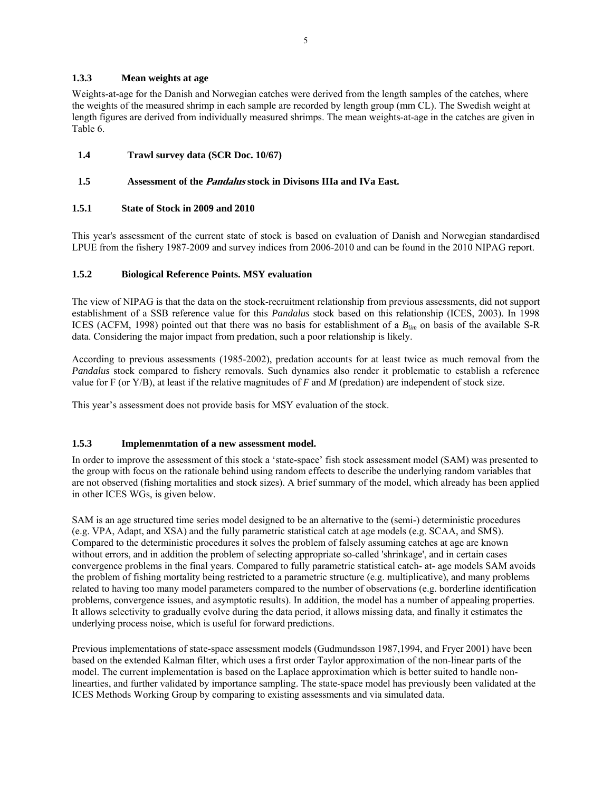#### **1.3.3 Mean weights at age**

Weights-at-age for the Danish and Norwegian catches were derived from the length samples of the catches, where the weights of the measured shrimp in each sample are recorded by length group (mm CL). The Swedish weight at length figures are derived from individually measured shrimps. The mean weights-at-age in the catches are given in Table 6.

#### **1.4 Trawl survey data (SCR Doc. 10/67)**

#### **1.5 Assessment of the Pandalus stock in Divisons IIIa and IVa East.**

#### **1.5.1 State of Stock in 2009 and 2010**

This year's assessment of the current state of stock is based on evaluation of Danish and Norwegian standardised LPUE from the fishery 1987-2009 and survey indices from 2006-2010 and can be found in the 2010 NIPAG report.

#### **1.5.2 Biological Reference Points. MSY evaluation**

The view of NIPAG is that the data on the stock-recruitment relationship from previous assessments, did not support establishment of a SSB reference value for this *Pandalus* stock based on this relationship (ICES, 2003). In 1998 ICES (ACFM, 1998) pointed out that there was no basis for establishment of a *Blim* on basis of the available S-R data. Considering the major impact from predation, such a poor relationship is likely.

According to previous assessments (1985-2002), predation accounts for at least twice as much removal from the *Pandalus* stock compared to fishery removals. Such dynamics also render it problematic to establish a reference value for F (or Y/B), at least if the relative magnitudes of *F* and *M* (predation) are independent of stock size.

This year's assessment does not provide basis for MSY evaluation of the stock.

#### **1.5.3 Implemenmtation of a new assessment model.**

In order to improve the assessment of this stock a 'state-space' fish stock assessment model (SAM) was presented to the group with focus on the rationale behind using random effects to describe the underlying random variables that are not observed (fishing mortalities and stock sizes). A brief summary of the model, which already has been applied in other ICES WGs, is given below.

SAM is an age structured time series model designed to be an alternative to the (semi-) deterministic procedures (e.g. VPA, Adapt, and XSA) and the fully parametric statistical catch at age models (e.g. SCAA, and SMS). Compared to the deterministic procedures it solves the problem of falsely assuming catches at age are known without errors, and in addition the problem of selecting appropriate so-called 'shrinkage', and in certain cases convergence problems in the final years. Compared to fully parametric statistical catch- at- age models SAM avoids the problem of fishing mortality being restricted to a parametric structure (e.g. multiplicative), and many problems related to having too many model parameters compared to the number of observations (e.g. borderline identification problems, convergence issues, and asymptotic results). In addition, the model has a number of appealing properties. It allows selectivity to gradually evolve during the data period, it allows missing data, and finally it estimates the underlying process noise, which is useful for forward predictions.

Previous implementations of state-space assessment models (Gudmundsson 1987,1994, and Fryer 2001) have been based on the extended Kalman filter, which uses a first order Taylor approximation of the non-linear parts of the model. The current implementation is based on the Laplace approximation which is better suited to handle nonlinearties, and further validated by importance sampling. The state-space model has previously been validated at the ICES Methods Working Group by comparing to existing assessments and via simulated data.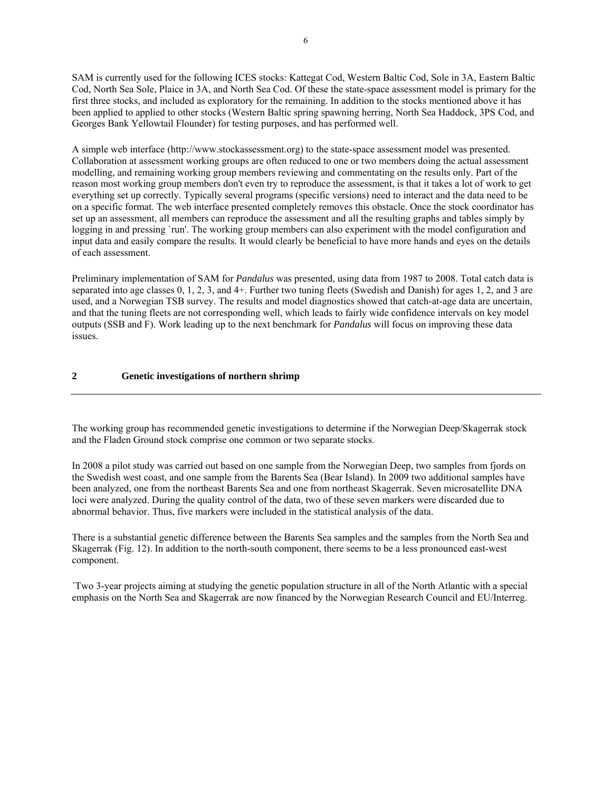SAM is currently used for the following ICES stocks: Kattegat Cod, Western Baltic Cod, Sole in 3A, Eastern Baltic Cod, North Sea Sole, Plaice in 3A, and North Sea Cod. Of these the state-space assessment model is primary for the first three stocks, and included as exploratory for the remaining. In addition to the stocks mentioned above it has been applied to applied to other stocks (Western Baltic spring spawning herring, North Sea Haddock, 3PS Cod, and Georges Bank Yellowtail Flounder) for testing purposes, and has performed well.

A simple web interface (http://www.stockassessment.org) to the state-space assessment model was presented. Collaboration at assessment working groups are often reduced to one or two members doing the actual assessment modelling, and remaining working group members reviewing and commentating on the results only. Part of the reason most working group members don't even try to reproduce the assessment, is that it takes a lot of work to get everything set up correctly. Typically several programs (specific versions) need to interact and the data need to be on a specific format. The web interface presented completely removes this obstacle. Once the stock coordinator has set up an assessment, all members can reproduce the assessment and all the resulting graphs and tables simply by logging in and pressing `run'. The working group members can also experiment with the model configuration and input data and easily compare the results. It would clearly be beneficial to have more hands and eyes on the details of each assessment.

Preliminary implementation of SAM for *Pandalus* was presented, using data from 1987 to 2008. Total catch data is separated into age classes 0, 1, 2, 3, and 4+. Further two tuning fleets (Swedish and Danish) for ages 1, 2, and 3 are used, and a Norwegian TSB survey. The results and model diagnostics showed that catch-at-age data are uncertain, and that the tuning fleets are not corresponding well, which leads to fairly wide confidence intervals on key model outputs (SSB and F). Work leading up to the next benchmark for *Pandalus* will focus on improving these data issues.

#### **2 Genetic investigations of northern shrimp**

The working group has recommended genetic investigations to determine if the Norwegian Deep/Skagerrak stock and the Fladen Ground stock comprise one common or two separate stocks.

In 2008 a pilot study was carried out based on one sample from the Norwegian Deep, two samples from fjords on the Swedish west coast, and one sample from the Barents Sea (Bear Island). In 2009 two additional samples have been analyzed, one from the northeast Barents Sea and one from northeast Skagerrak. Seven microsatellite DNA loci were analyzed. During the quality control of the data, two of these seven markers were discarded due to abnormal behavior. Thus, five markers were included in the statistical analysis of the data.

There is a substantial genetic difference between the Barents Sea samples and the samples from the North Sea and Skagerrak (Fig. 12). In addition to the north-south component, there seems to be a less pronounced east-west component.

´Two 3-year projects aiming at studying the genetic population structure in all of the North Atlantic with a special emphasis on the North Sea and Skagerrak are now financed by the Norwegian Research Council and EU/Interreg.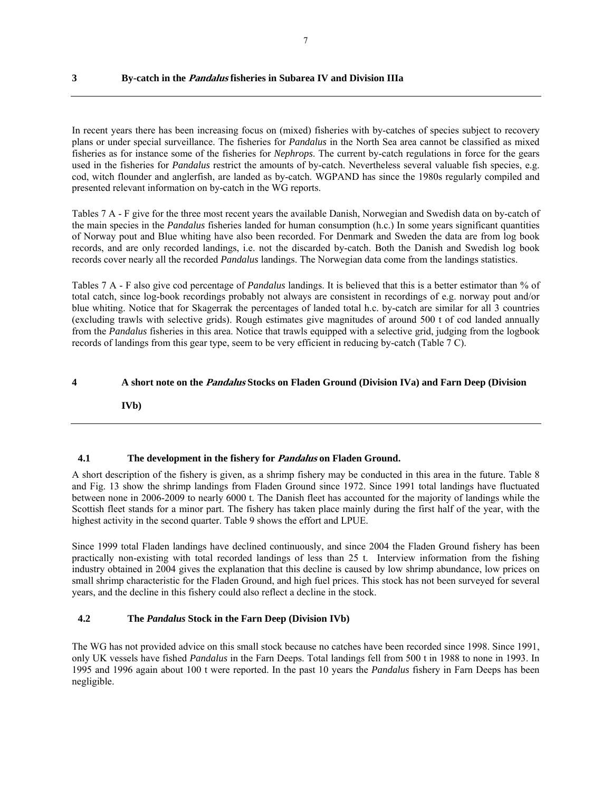#### **3 By-catch in the Pandalus fisheries in Subarea IV and Division IIIa**

In recent years there has been increasing focus on (mixed) fisheries with by-catches of species subject to recovery plans or under special surveillance. The fisheries for *Pandalus* in the North Sea area cannot be classified as mixed fisheries as for instance some of the fisheries for *Nephrops*. The current by-catch regulations in force for the gears used in the fisheries for *Pandalus* restrict the amounts of by-catch. Nevertheless several valuable fish species, e.g. cod, witch flounder and anglerfish, are landed as by-catch. WGPAND has since the 1980s regularly compiled and presented relevant information on by-catch in the WG reports.

Tables 7 A - F give for the three most recent years the available Danish, Norwegian and Swedish data on by-catch of the main species in the *Pandalus* fisheries landed for human consumption (h.c.) In some years significant quantities of Norway pout and Blue whiting have also been recorded. For Denmark and Sweden the data are from log book records, and are only recorded landings, i.e. not the discarded by-catch. Both the Danish and Swedish log book records cover nearly all the recorded *Pandalus* landings. The Norwegian data come from the landings statistics.

Tables 7 A - F also give cod percentage of *Pandalus* landings. It is believed that this is a better estimator than % of total catch, since log-book recordings probably not always are consistent in recordings of e.g. norway pout and/or blue whiting. Notice that for Skagerrak the percentages of landed total h.c. by-catch are similar for all 3 countries (excluding trawls with selective grids). Rough estimates give magnitudes of around 500 t of cod landed annually from the *Pandalus* fisheries in this area. Notice that trawls equipped with a selective grid, judging from the logbook records of landings from this gear type, seem to be very efficient in reducing by-catch (Table 7 C).

#### **4 A short note on the Pandalus Stocks on Fladen Ground (Division IVa) and Farn Deep (Division**

**IVb)** 

#### **4.1 The development in the fishery for Pandalus on Fladen Ground.**

A short description of the fishery is given, as a shrimp fishery may be conducted in this area in the future. Table 8 and Fig. 13 show the shrimp landings from Fladen Ground since 1972. Since 1991 total landings have fluctuated between none in 2006-2009 to nearly 6000 t. The Danish fleet has accounted for the majority of landings while the Scottish fleet stands for a minor part. The fishery has taken place mainly during the first half of the year, with the highest activity in the second quarter. Table 9 shows the effort and LPUE.

Since 1999 total Fladen landings have declined continuously, and since 2004 the Fladen Ground fishery has been practically non-existing with total recorded landings of less than 25 t. Interview information from the fishing industry obtained in 2004 gives the explanation that this decline is caused by low shrimp abundance, low prices on small shrimp characteristic for the Fladen Ground, and high fuel prices. This stock has not been surveyed for several years, and the decline in this fishery could also reflect a decline in the stock.

#### **4.2 The** *Pandalus* **Stock in the Farn Deep (Division IVb)**

The WG has not provided advice on this small stock because no catches have been recorded since 1998. Since 1991, only UK vessels have fished *Pandalus* in the Farn Deeps. Total landings fell from 500 t in 1988 to none in 1993. In 1995 and 1996 again about 100 t were reported. In the past 10 years the *Pandalus* fishery in Farn Deeps has been negligible.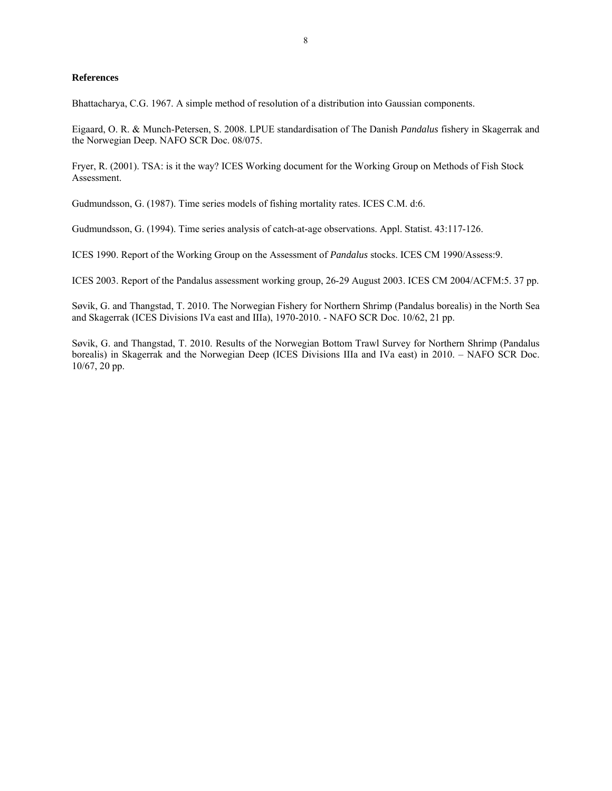#### **References**

Bhattacharya, C.G. 1967. A simple method of resolution of a distribution into Gaussian components.

Eigaard, O. R. & Munch-Petersen, S. 2008. LPUE standardisation of The Danish *Pandalus* fishery in Skagerrak and the Norwegian Deep. NAFO SCR Doc. 08/075.

Fryer, R. (2001). TSA: is it the way? ICES Working document for the Working Group on Methods of Fish Stock Assessment.

Gudmundsson, G. (1987). Time series models of fishing mortality rates. ICES C.M. d:6.

Gudmundsson, G. (1994). Time series analysis of catch-at-age observations. Appl. Statist. 43:117-126.

ICES 1990. Report of the Working Group on the Assessment of *Pandalus* stocks. ICES CM 1990/Assess:9.

ICES 2003. Report of the Pandalus assessment working group, 26-29 August 2003. ICES CM 2004/ACFM:5. 37 pp.

Søvik, G. and Thangstad, T. 2010. The Norwegian Fishery for Northern Shrimp (Pandalus borealis) in the North Sea and Skagerrak (ICES Divisions IVa east and IIIa), 1970-2010. - NAFO SCR Doc. 10/62, 21 pp.

Søvik, G. and Thangstad, T. 2010. Results of the Norwegian Bottom Trawl Survey for Northern Shrimp (Pandalus borealis) in Skagerrak and the Norwegian Deep (ICES Divisions IIIa and IVa east) in 2010. – NAFO SCR Doc. 10/67, 20 pp.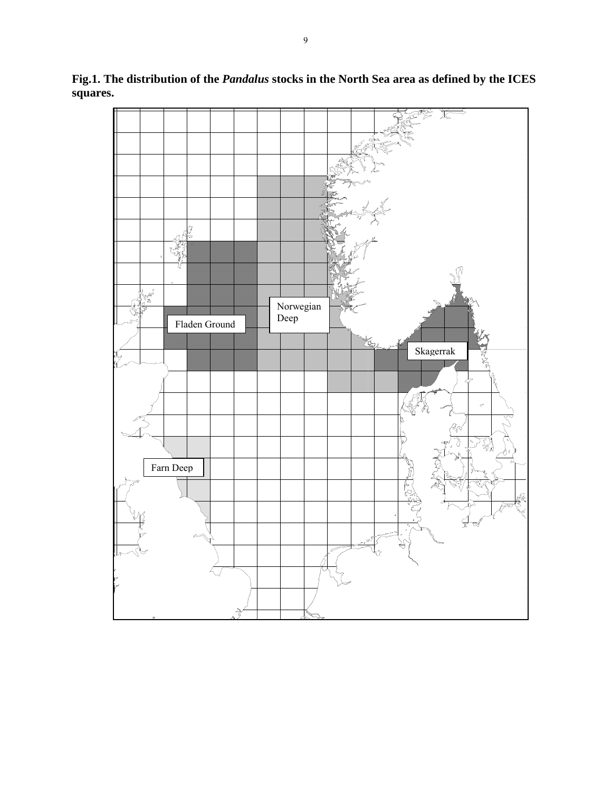

**Fig.1. The distribution of the** *Pandalus* **stocks in the North Sea area as defined by the ICES squares.**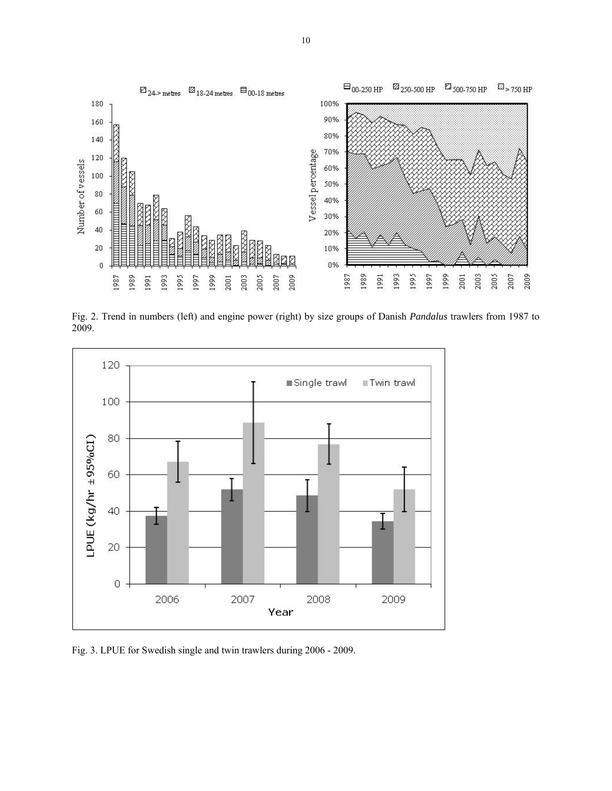

Fig. 2. Trend in numbers (left) and engine power (right) by size groups of Danish *Pandalus* trawlers from 1987 to 2009.



Fig. 3. LPUE for Swedish single and twin trawlers during 2006 - 2009.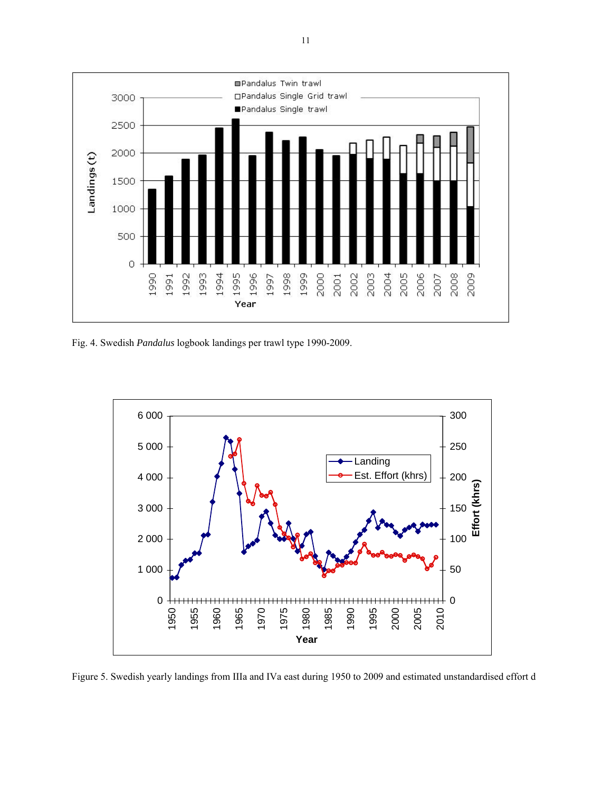

Fig. 4. Swedish *Pandalus* logbook landings per trawl type 1990-2009.



Figure 5. Swedish yearly landings from IIIa and IVa east during 1950 to 2009 and estimated unstandardised effort d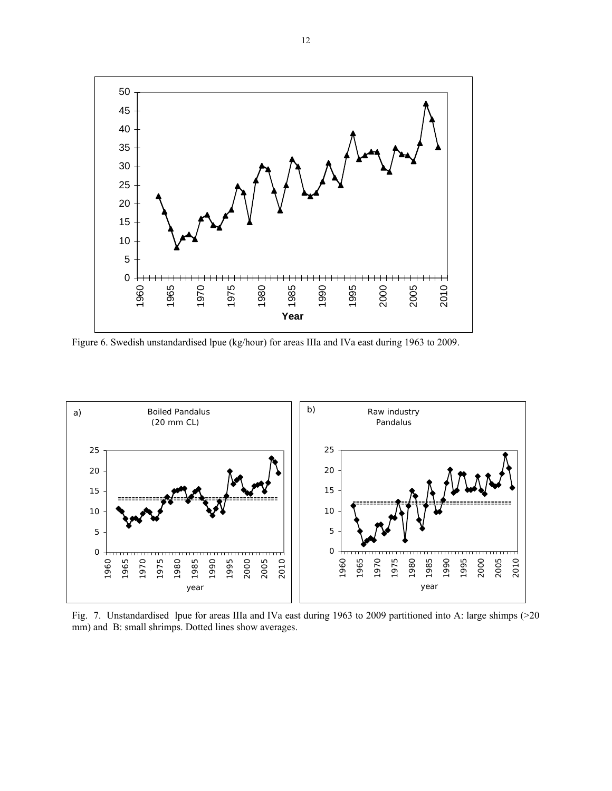

Figure 6. Swedish unstandardised lpue (kg/hour) for areas IIIa and IVa east during 1963 to 2009.



Fig. 7. Unstandardised lpue for areas IIIa and IVa east during 1963 to 2009 partitioned into A: large shimps (>20 mm) and B: small shrimps. Dotted lines show averages.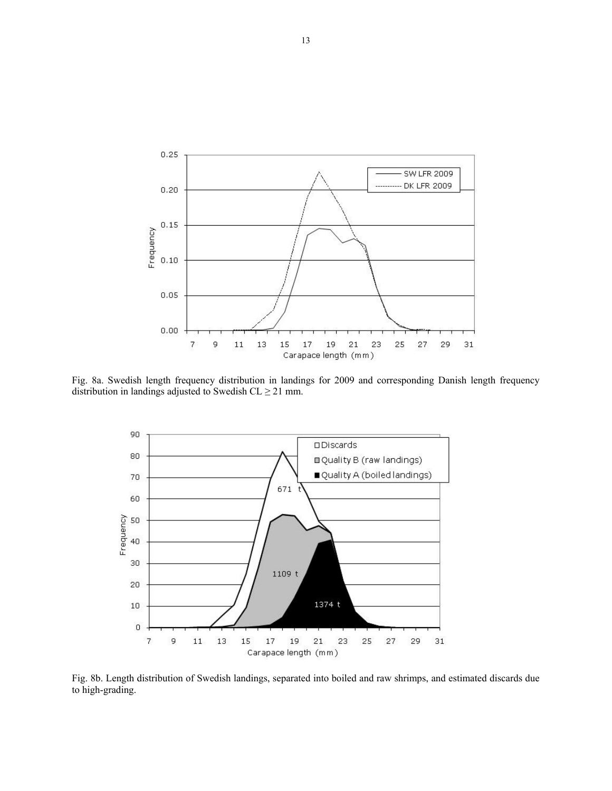

Fig. 8a. Swedish length frequency distribution in landings for 2009 and corresponding Danish length frequency distribution in landings adjusted to Swedish  $CL \ge 21$  mm.



Fig. 8b. Length distribution of Swedish landings, separated into boiled and raw shrimps, and estimated discards due to high-grading.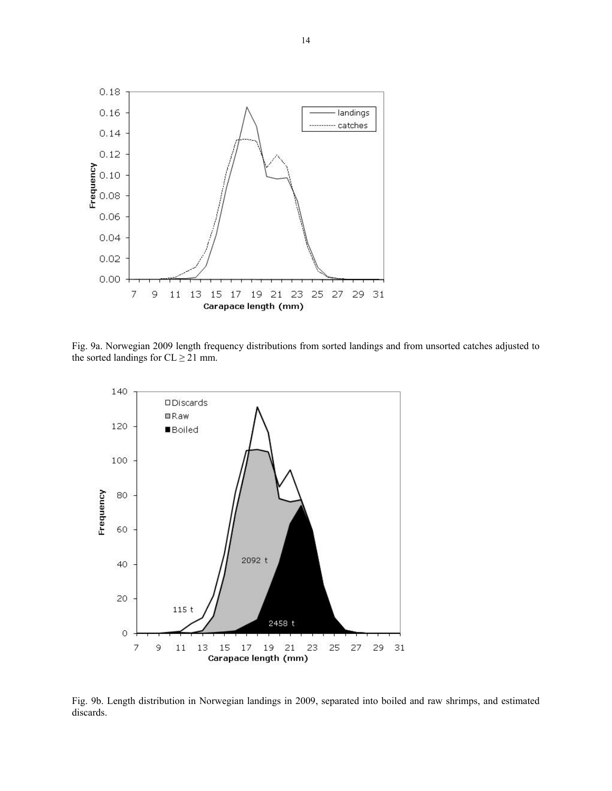

Fig. 9a. Norwegian 2009 length frequency distributions from sorted landings and from unsorted catches adjusted to the sorted landings for  $CL \geq 21$  mm.



Fig. 9b. Length distribution in Norwegian landings in 2009, separated into boiled and raw shrimps, and estimated discards.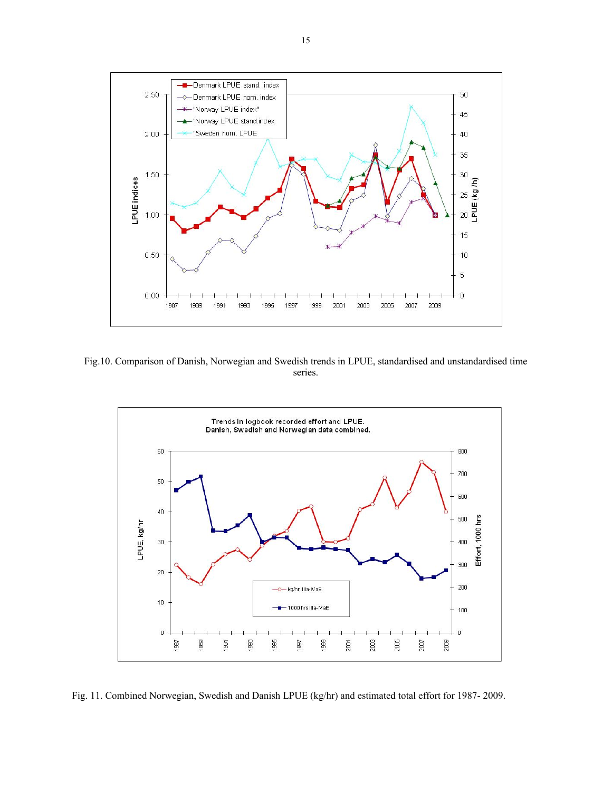

Fig.10. Comparison of Danish, Norwegian and Swedish trends in LPUE, standardised and unstandardised time series.



Fig. 11. Combined Norwegian, Swedish and Danish LPUE (kg/hr) and estimated total effort for 1987- 2009.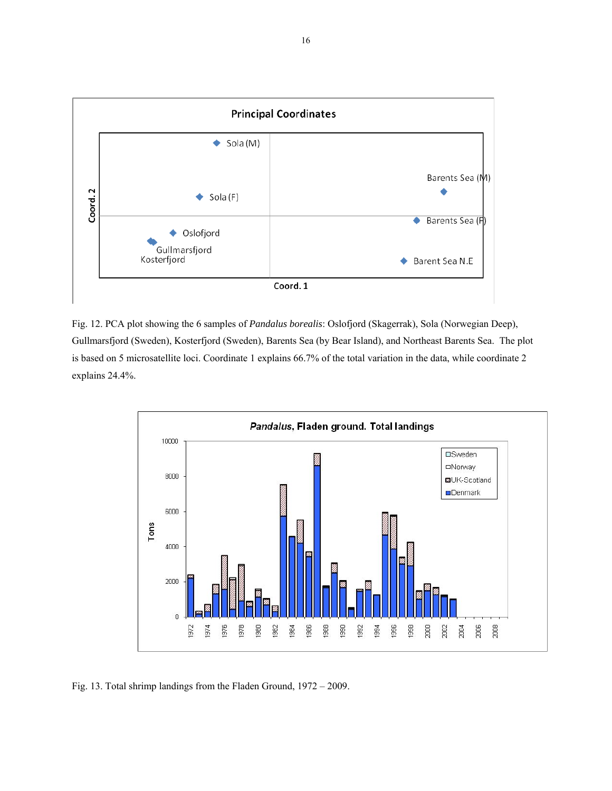

Fig. 12. PCA plot showing the 6 samples of *Pandalus borealis*: Oslofjord (Skagerrak), Sola (Norwegian Deep), Gullmarsfjord (Sweden), Kosterfjord (Sweden), Barents Sea (by Bear Island), and Northeast Barents Sea. The plot is based on 5 microsatellite loci. Coordinate 1 explains 66.7% of the total variation in the data, while coordinate 2 explains 24.4%.



Fig. 13. Total shrimp landings from the Fladen Ground, 1972 – 2009.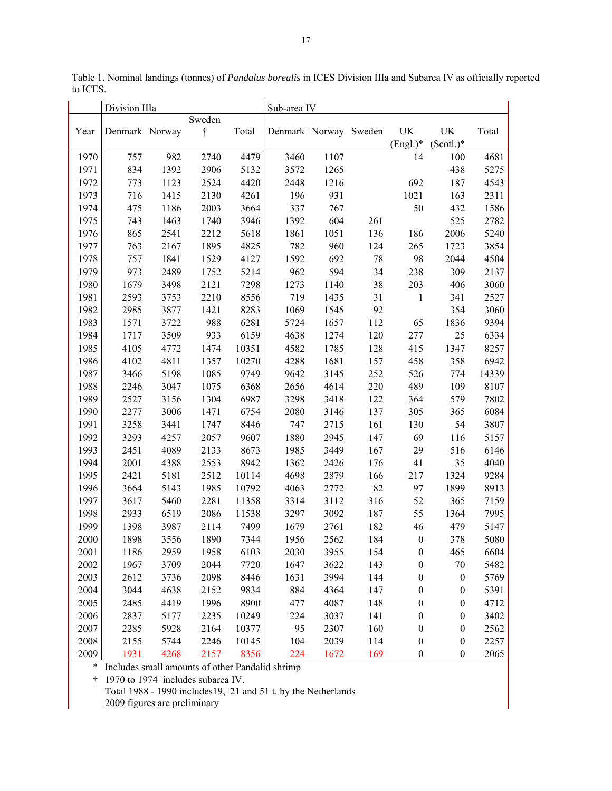|      | Division IIIa  |      |                     |       | Sub-area IV           |      |     |                  |                  |       |
|------|----------------|------|---------------------|-------|-----------------------|------|-----|------------------|------------------|-------|
| Year | Denmark Norway |      | Sweden<br>$\dagger$ | Total | Denmark Norway Sweden |      |     | UK               | UK               | Total |
|      |                |      |                     |       |                       |      |     | $(English.)^*$   | $(Scotl.)^*$     |       |
| 1970 | 757            | 982  | 2740                | 4479  | 3460                  | 1107 |     | 14               | 100              | 4681  |
| 1971 | 834            | 1392 | 2906                | 5132  | 3572                  | 1265 |     |                  | 438              | 5275  |
| 1972 | 773            | 1123 | 2524                | 4420  | 2448                  | 1216 |     | 692              | 187              | 4543  |
| 1973 | 716            | 1415 | 2130                | 4261  | 196                   | 931  |     | 1021             | 163              | 2311  |
| 1974 | 475            | 1186 | 2003                | 3664  | 337                   | 767  |     | 50               | 432              | 1586  |
| 1975 | 743            | 1463 | 1740                | 3946  | 1392                  | 604  | 261 |                  | 525              | 2782  |
| 1976 | 865            | 2541 | 2212                | 5618  | 1861                  | 1051 | 136 | 186              | 2006             | 5240  |
| 1977 | 763            | 2167 | 1895                | 4825  | 782                   | 960  | 124 | 265              | 1723             | 3854  |
| 1978 | 757            | 1841 | 1529                | 4127  | 1592                  | 692  | 78  | 98               | 2044             | 4504  |
| 1979 | 973            | 2489 | 1752                | 5214  | 962                   | 594  | 34  | 238              | 309              | 2137  |
| 1980 | 1679           | 3498 | 2121                | 7298  | 1273                  | 1140 | 38  | 203              | 406              | 3060  |
| 1981 | 2593           | 3753 | 2210                | 8556  | 719                   | 1435 | 31  | $\mathbf{1}$     | 341              | 2527  |
| 1982 | 2985           | 3877 | 1421                | 8283  | 1069                  | 1545 | 92  |                  | 354              | 3060  |
| 1983 | 1571           | 3722 | 988                 | 6281  | 5724                  | 1657 | 112 | 65               | 1836             | 9394  |
| 1984 | 1717           | 3509 | 933                 | 6159  | 4638                  | 1274 | 120 | 277              | 25               | 6334  |
| 1985 | 4105           | 4772 | 1474                | 10351 | 4582                  | 1785 | 128 | 415              | 1347             | 8257  |
| 1986 | 4102           | 4811 | 1357                | 10270 | 4288                  | 1681 | 157 | 458              | 358              | 6942  |
| 1987 | 3466           | 5198 | 1085                | 9749  | 9642                  | 3145 | 252 | 526              | 774              | 14339 |
| 1988 | 2246           | 3047 | 1075                | 6368  | 2656                  | 4614 | 220 | 489              | 109              | 8107  |
| 1989 | 2527           | 3156 | 1304                | 6987  | 3298                  | 3418 | 122 | 364              | 579              | 7802  |
| 1990 | 2277           | 3006 | 1471                | 6754  | 2080                  | 3146 | 137 | 305              | 365              | 6084  |
| 1991 | 3258           | 3441 | 1747                | 8446  | 747                   | 2715 | 161 | 130              | 54               | 3807  |
| 1992 | 3293           | 4257 | 2057                | 9607  | 1880                  | 2945 | 147 | 69               | 116              | 5157  |
| 1993 | 2451           | 4089 | 2133                | 8673  | 1985                  | 3449 | 167 | 29               | 516              | 6146  |
| 1994 | 2001           | 4388 | 2553                | 8942  | 1362                  | 2426 | 176 | 41               | 35               | 4040  |
| 1995 | 2421           | 5181 | 2512                | 10114 | 4698                  | 2879 | 166 | 217              | 1324             | 9284  |
| 1996 | 3664           | 5143 | 1985                | 10792 | 4063                  | 2772 | 82  | 97               | 1899             | 8913  |
| 1997 | 3617           | 5460 | 2281                | 11358 | 3314                  | 3112 | 316 | 52               | 365              | 7159  |
| 1998 | 2933           | 6519 | 2086                | 11538 | 3297                  | 3092 | 187 | 55               | 1364             | 7995  |
| 1999 | 1398           | 3987 | 2114                | 7499  | 1679                  | 2761 | 182 | 46               | 479              | 5147  |
| 2000 | 1898           | 3556 | 1890                | 7344  | 1956                  | 2562 | 184 | $\boldsymbol{0}$ | 378              | 5080  |
| 2001 | 1186           | 2959 | 1958                | 6103  | 2030                  | 3955 | 154 | $\boldsymbol{0}$ | 465              | 6604  |
| 2002 | 1967           | 3709 | 2044                | 7720  | 1647                  | 3622 | 143 | $\boldsymbol{0}$ | 70               | 5482  |
| 2003 | 2612           | 3736 | 2098                | 8446  | 1631                  | 3994 | 144 | $\boldsymbol{0}$ | $\boldsymbol{0}$ | 5769  |
| 2004 | 3044           | 4638 | 2152                | 9834  | 884                   | 4364 | 147 | $\boldsymbol{0}$ | $\boldsymbol{0}$ | 5391  |
| 2005 | 2485           | 4419 | 1996                | 8900  | 477                   | 4087 | 148 | $\boldsymbol{0}$ | $\boldsymbol{0}$ | 4712  |
| 2006 | 2837           | 5177 | 2235                | 10249 | 224                   | 3037 | 141 | $\boldsymbol{0}$ | $\boldsymbol{0}$ | 3402  |
| 2007 | 2285           | 5928 | 2164                | 10377 | 95                    | 2307 | 160 | $\boldsymbol{0}$ | $\boldsymbol{0}$ | 2562  |
| 2008 | 2155           | 5744 | 2246                | 10145 | 104                   | 2039 | 114 | $\boldsymbol{0}$ | $\boldsymbol{0}$ | 2257  |
| 2009 | 1931           | 4268 | 2157                | 8356  | 224                   | 1672 | 169 | $\boldsymbol{0}$ | $\boldsymbol{0}$ | 2065  |

Table 1. Nominal landings (tonnes) of *Pandalus borealis* in ICES Division IIIa and Subarea IV as officially reported to ICES.

\* Includes small amounts of other Pandalid shrimp

† 1970 to 1974 includes subarea IV.

Total 1988 - 1990 includes19, 21 and 51 t. by the Netherlands

2009 figures are preliminary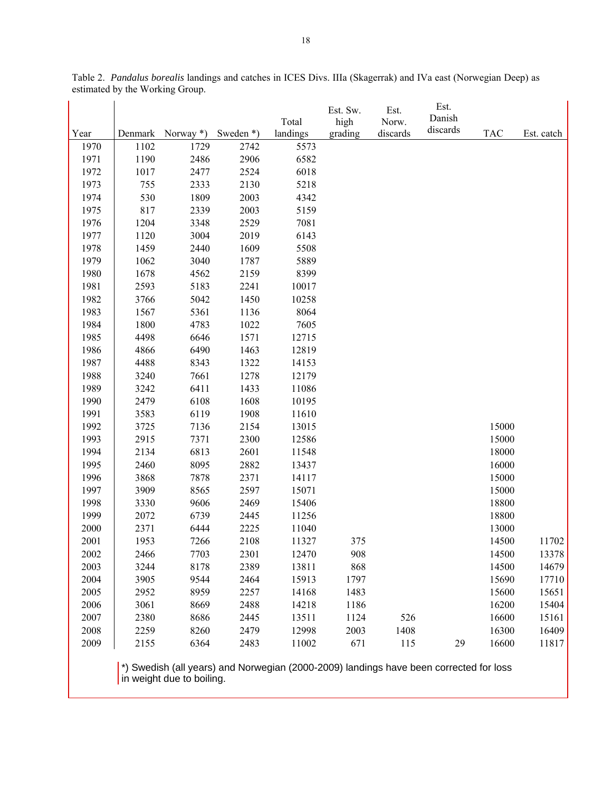|      |      |                  |              | Total    | Est. Sw.<br>high | Est.<br>Norw. | Est.<br>Danish |            |            |
|------|------|------------------|--------------|----------|------------------|---------------|----------------|------------|------------|
| Year |      | Denmark Norway*) | Sweden $*$ ) | landings | grading          | discards      | discards       | <b>TAC</b> | Est. catch |
| 1970 | 1102 | 1729             | 2742         | 5573     |                  |               |                |            |            |
| 1971 | 1190 | 2486             | 2906         | 6582     |                  |               |                |            |            |
| 1972 | 1017 | 2477             | 2524         | 6018     |                  |               |                |            |            |
| 1973 | 755  | 2333             | 2130         | 5218     |                  |               |                |            |            |
| 1974 | 530  | 1809             | 2003         | 4342     |                  |               |                |            |            |
| 1975 | 817  | 2339             | 2003         | 5159     |                  |               |                |            |            |
| 1976 | 1204 | 3348             | 2529         | 7081     |                  |               |                |            |            |
| 1977 | 1120 | 3004             | 2019         | 6143     |                  |               |                |            |            |
| 1978 | 1459 | 2440             | 1609         | 5508     |                  |               |                |            |            |
| 1979 | 1062 | 3040             | 1787         | 5889     |                  |               |                |            |            |
| 1980 | 1678 | 4562             | 2159         | 8399     |                  |               |                |            |            |
| 1981 | 2593 | 5183             | 2241         | 10017    |                  |               |                |            |            |
| 1982 | 3766 | 5042             | 1450         | 10258    |                  |               |                |            |            |
| 1983 | 1567 | 5361             | 1136         | 8064     |                  |               |                |            |            |
| 1984 | 1800 | 4783             | 1022         | 7605     |                  |               |                |            |            |
| 1985 | 4498 | 6646             | 1571         | 12715    |                  |               |                |            |            |
| 1986 | 4866 | 6490             | 1463         | 12819    |                  |               |                |            |            |
| 1987 | 4488 | 8343             | 1322         | 14153    |                  |               |                |            |            |
| 1988 | 3240 | 7661             | 1278         | 12179    |                  |               |                |            |            |
| 1989 | 3242 | 6411             | 1433         | 11086    |                  |               |                |            |            |
| 1990 | 2479 | 6108             | 1608         | 10195    |                  |               |                |            |            |
| 1991 | 3583 | 6119             | 1908         | 11610    |                  |               |                |            |            |
| 1992 | 3725 | 7136             | 2154         | 13015    |                  |               |                | 15000      |            |
| 1993 | 2915 | 7371             | 2300         | 12586    |                  |               |                | 15000      |            |
| 1994 | 2134 | 6813             | 2601         | 11548    |                  |               |                | 18000      |            |
| 1995 | 2460 | 8095             | 2882         | 13437    |                  |               |                | 16000      |            |
| 1996 | 3868 | 7878             | 2371         | 14117    |                  |               |                | 15000      |            |
| 1997 | 3909 | 8565             | 2597         | 15071    |                  |               |                | 15000      |            |
| 1998 | 3330 | 9606             | 2469         | 15406    |                  |               |                | 18800      |            |
| 1999 | 2072 | 6739             | 2445         | 11256    |                  |               |                | 18800      |            |
| 2000 | 2371 | 6444             | 2225         | 11040    |                  |               |                | 13000      |            |
| 2001 | 1953 | 7266             | 2108         | 11327    | 375              |               |                | 14500      | 11702      |
| 2002 | 2466 | 7703             | 2301         | 12470    | 908              |               |                | 14500      | 13378      |
| 2003 | 3244 | 8178             | 2389         | 13811    | 868              |               |                | 14500      | 14679      |
| 2004 | 3905 | 9544             | 2464         | 15913    | 1797             |               |                | 15690      | 17710      |
| 2005 | 2952 | 8959             | 2257         | 14168    | 1483             |               |                | 15600      | 15651      |
| 2006 | 3061 | 8669             | 2488         | 14218    | 1186             |               |                | 16200      | 15404      |
| 2007 | 2380 | 8686             | 2445         | 13511    | 1124             | 526           |                | 16600      | 15161      |
| 2008 | 2259 | 8260             | 2479         | 12998    | 2003             | 1408          |                | 16300      | 16409      |
| 2009 | 2155 | 6364             | 2483         | 11002    | 671              | 115           | 29             | 16600      | 11817      |

Table 2. *Pandalus borealis* landings and catches in ICES Divs. IIIa (Skagerrak) and IVa east (Norwegian Deep) as estimated by the Working Group.

 \*) Swedish (all years) and Norwegian (2000-2009) landings have been corrected for loss in weight due to boiling.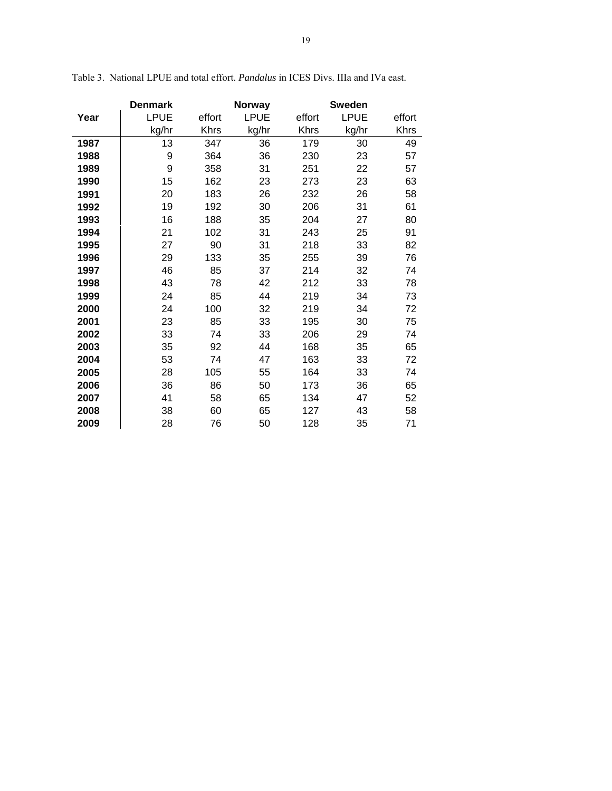|      | <b>Denmark</b> |        | Norway      |             | <b>Sweden</b> |             |
|------|----------------|--------|-------------|-------------|---------------|-------------|
| Year | <b>LPUE</b>    | effort | <b>LPUE</b> | effort      | <b>LPUE</b>   | effort      |
|      | kg/hr          | Khrs   | kg/hr       | <b>Khrs</b> | kg/hr         | <b>Khrs</b> |
| 1987 | 13             | 347    | 36          | 179         | 30            | 49          |
| 1988 | 9              | 364    | 36          | 230         | 23            | 57          |
| 1989 | 9              | 358    | 31          | 251         | 22            | 57          |
| 1990 | 15             | 162    | 23          | 273         | 23            | 63          |
| 1991 | 20             | 183    | 26          | 232         | 26            | 58          |
| 1992 | 19             | 192    | 30          | 206         | 31            | 61          |
| 1993 | 16             | 188    | 35          | 204         | 27            | 80          |
| 1994 | 21             | 102    | 31          | 243         | 25            | 91          |
| 1995 | 27             | 90     | 31          | 218         | 33            | 82          |
| 1996 | 29             | 133    | 35          | 255         | 39            | 76          |
| 1997 | 46             | 85     | 37          | 214         | 32            | 74          |
| 1998 | 43             | 78     | 42          | 212         | 33            | 78          |
| 1999 | 24             | 85     | 44          | 219         | 34            | 73          |
| 2000 | 24             | 100    | 32          | 219         | 34            | 72          |
| 2001 | 23             | 85     | 33          | 195         | 30            | 75          |
| 2002 | 33             | 74     | 33          | 206         | 29            | 74          |
| 2003 | 35             | 92     | 44          | 168         | 35            | 65          |
| 2004 | 53             | 74     | 47          | 163         | 33            | 72          |
| 2005 | 28             | 105    | 55          | 164         | 33            | 74          |
| 2006 | 36             | 86     | 50          | 173         | 36            | 65          |
| 2007 | 41             | 58     | 65          | 134         | 47            | 52          |
| 2008 | 38             | 60     | 65          | 127         | 43            | 58          |
| 2009 | 28             | 76     | 50          | 128         | 35            | 71          |

Table 3. National LPUE and total effort. *Pandalus* in ICES Divs. IIIa and IVa east.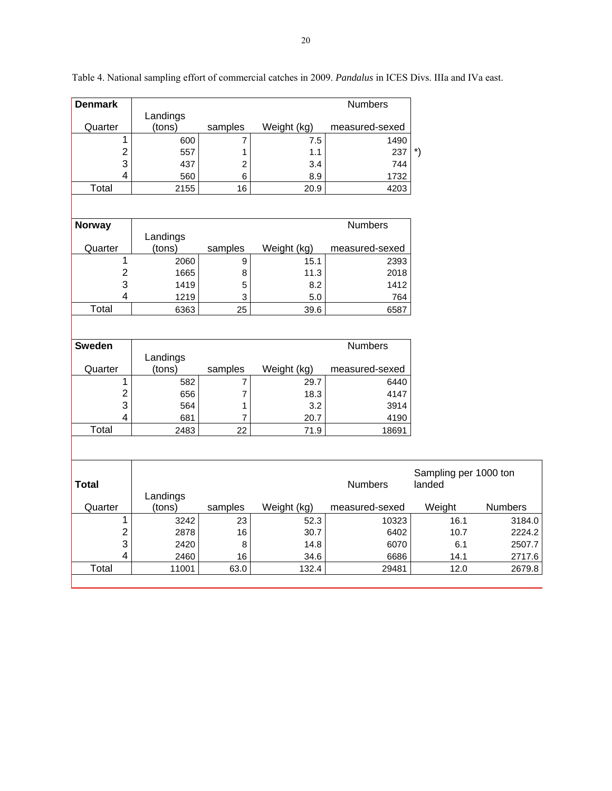| <b>Denmark</b>               |                    |                |             | Numbers        |                       |                |
|------------------------------|--------------------|----------------|-------------|----------------|-----------------------|----------------|
|                              | Landings           |                |             |                |                       |                |
| Quarter                      | (tons)             | samples        | Weight (kg) | measured-sexed |                       |                |
| 1                            | 600                | 7              | 7.5         | 1490           |                       |                |
| $\overline{c}$               | 557                | 1              | 1.1         | 237            | $\boldsymbol{r})$     |                |
| 3                            | 437                | 2              | 3.4         | 744            |                       |                |
| $\overline{\mathbf{4}}$      | 560                | 6              | 8.9         | 1732           |                       |                |
| Total                        | 2155               | 16             | 20.9        | 4203           |                       |                |
|                              |                    |                |             |                |                       |                |
| Norway                       |                    |                |             | <b>Numbers</b> |                       |                |
|                              | Landings           |                |             |                |                       |                |
| Quarter                      | (tons)             | samples        | Weight (kg) | measured-sexed |                       |                |
| 1                            | 2060               | 9              | 15.1        | 2393           |                       |                |
| $\boldsymbol{2}$             | 1665               | 8              | 11.3        | 2018           |                       |                |
| 3                            | 1419               | 5              | 8.2         | 1412           |                       |                |
| $\overline{4}$               | 1219               | 3              | 5.0         | 764            |                       |                |
| Total                        | 6363               | 25             | 39.6        | 6587           |                       |                |
|                              |                    |                |             |                |                       |                |
|                              |                    |                |             |                |                       |                |
| <b>Sweden</b>                |                    |                |             | <b>Numbers</b> |                       |                |
|                              | Landings           |                |             |                |                       |                |
| Quarter                      | (tons)             | samples        | Weight (kg) | measured-sexed |                       |                |
| 1                            | 582                | 7              | 29.7        | 6440           |                       |                |
| $\boldsymbol{2}$             | 656                | $\overline{7}$ | 18.3        | 4147           |                       |                |
| 3<br>$\overline{\mathbf{4}}$ | 564                | 1              | 3.2         | 3914           |                       |                |
| Total                        | 681                | 7<br>22        | 20.7        | 4190           |                       |                |
|                              | 2483               |                | 71.9        | 18691          |                       |                |
|                              |                    |                |             |                |                       |                |
|                              |                    |                |             |                |                       |                |
|                              |                    |                |             |                | Sampling per 1000 ton |                |
| <b>Total</b>                 |                    |                |             | <b>Numbers</b> | landed                |                |
| Quarter                      | Landings<br>(tons) | samples        | Weight (kg) | measured-sexed | Weight                | <b>Numbers</b> |
| 1                            | 3242               | 23             | 52.3        | 10323          | 16.1                  | 3184.0         |
| $\overline{c}$               | 2878               | 16             | 30.7        | 6402           | 10.7                  | 2224.2         |
| 3                            | 2420               | 8              | 14.8        | 6070           | 6.1                   | 2507.7         |
| $\overline{\mathbf{4}}$      | 2460               | 16             | 34.6        | 6686           | 14.1                  | 2717.6         |
| Total                        | 11001              | 63.0           | 132.4       | 29481          | 12.0                  | 2679.8         |
|                              |                    |                |             |                |                       |                |

Table 4. National sampling effort of commercial catches in 2009. *Pandalus* in ICES Divs. IIIa and IVa east.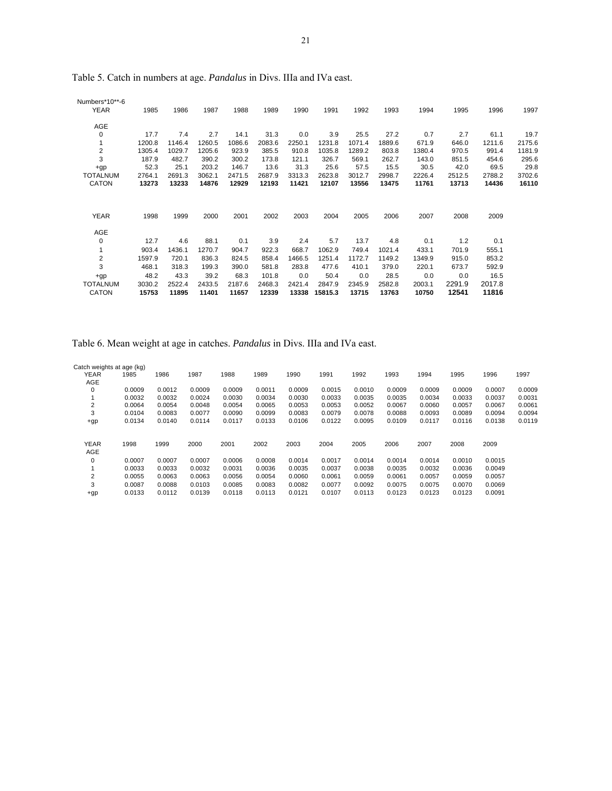| Numbers*10**-6<br><b>YEAR</b> | 1985   | 1986   | 1987   | 1988   | 1989   | 1990   | 1991    | 1992   | 1993   | 1994   | 1995   | 1996   | 1997   |
|-------------------------------|--------|--------|--------|--------|--------|--------|---------|--------|--------|--------|--------|--------|--------|
| AGE                           |        |        |        |        |        |        |         |        |        |        |        |        |        |
| 0                             | 17.7   | 7.4    | 2.7    | 14.1   | 31.3   | 0.0    | 3.9     | 25.5   | 27.2   | 0.7    | 2.7    | 61.1   | 19.7   |
|                               | 1200.8 | 1146.4 | 1260.5 | 1086.6 | 2083.6 | 2250.1 | 1231.8  | 1071.4 | 1889.6 | 671.9  | 646.0  | 1211.6 | 2175.6 |
| $\overline{\mathbf{c}}$       | 1305.4 | 1029.7 | 1205.6 | 923.9  | 385.5  | 910.8  | 1035.8  | 1289.2 | 803.8  | 1380.4 | 970.5  | 991.4  | 1181.9 |
| 3                             | 187.9  | 482.7  | 390.2  | 300.2  | 173.8  | 121.1  | 326.7   | 569.1  | 262.7  | 143.0  | 851.5  | 454.6  | 295.6  |
| $+qp$                         | 52.3   | 25.1   | 203.2  | 146.7  | 13.6   | 31.3   | 25.6    | 57.5   | 15.5   | 30.5   | 42.0   | 69.5   | 29.8   |
| <b>TOTALNUM</b>               | 2764.1 | 2691.3 | 3062.1 | 2471.5 | 2687.9 | 3313.3 | 2623.8  | 3012.7 | 2998.7 | 2226.4 | 2512.5 | 2788.2 | 3702.6 |
| <b>CATON</b>                  | 13273  | 13233  | 14876  | 12929  | 12193  | 11421  | 12107   | 13556  | 13475  | 11761  | 13713  | 14436  | 16110  |
| <b>YEAR</b>                   | 1998   | 1999   | 2000   | 2001   | 2002   | 2003   | 2004    | 2005   | 2006   | 2007   | 2008   | 2009   |        |
| AGE                           |        |        |        |        |        |        |         |        |        |        |        |        |        |
| 0                             | 12.7   | 4.6    | 88.1   | 0.1    | 3.9    | 2.4    | 5.7     | 13.7   | 4.8    | 0.1    | 1.2    | 0.1    |        |
|                               | 903.4  | 1436.1 | 1270.7 | 904.7  | 922.3  | 668.7  | 1062.9  | 749.4  | 1021.4 | 433.1  | 701.9  | 555.1  |        |
| $\overline{\mathbf{c}}$       | 1597.9 | 720.1  | 836.3  | 824.5  | 858.4  | 1466.5 | 1251.4  | 1172.7 | 1149.2 | 1349.9 | 915.0  | 853.2  |        |
| 3                             | 468.1  | 318.3  | 199.3  | 390.0  | 581.8  | 283.8  | 477.6   | 410.1  | 379.0  | 220.1  | 673.7  | 592.9  |        |
| $+qp$                         | 48.2   | 43.3   | 39.2   | 68.3   | 101.8  | 0.0    | 50.4    | 0.0    | 28.5   | 0.0    | 0.0    | 16.5   |        |
| <b>TOTALNUM</b>               | 3030.2 | 2522.4 | 2433.5 | 2187.6 | 2468.3 | 2421.4 | 2847.9  | 2345.9 | 2582.8 | 2003.1 | 2291.9 | 2017.8 |        |
| <b>CATON</b>                  | 15753  | 11895  | 11401  | 11657  | 12339  | 13338  | 15815.3 | 13715  | 13763  | 10750  | 12541  | 11816  |        |

Table 5. Catch in numbers at age. *Pandalus* in Divs. IIIa and IVa east.

Table 6. Mean weight at age in catches. *Pandalus* in Divs. IIIa and IVa east.

| Catch weights at age (kg) |        |        |        |        |        |        |        |        |        |        |        |        |        |
|---------------------------|--------|--------|--------|--------|--------|--------|--------|--------|--------|--------|--------|--------|--------|
| <b>YEAR</b>               | 1985   | 1986   | 1987   | 1988   | 1989   | 1990   | 1991   | 1992   | 1993   | 1994   | 1995   | 1996   | 1997   |
| AGE                       |        |        |        |        |        |        |        |        |        |        |        |        |        |
| 0                         | 0.0009 | 0.0012 | 0.0009 | 0.0009 | 0.0011 | 0.0009 | 0.0015 | 0.0010 | 0.0009 | 0.0009 | 0.0009 | 0.0007 | 0.0009 |
|                           | 0.0032 | 0.0032 | 0.0024 | 0.0030 | 0.0034 | 0.0030 | 0.0033 | 0.0035 | 0.0035 | 0.0034 | 0.0033 | 0.0037 | 0.0031 |
| $\overline{2}$            | 0.0064 | 0.0054 | 0.0048 | 0.0054 | 0.0065 | 0.0053 | 0.0053 | 0.0052 | 0.0067 | 0.0060 | 0.0057 | 0.0067 | 0.0061 |
| 3                         | 0.0104 | 0.0083 | 0.0077 | 0.0090 | 0.0099 | 0.0083 | 0.0079 | 0.0078 | 0.0088 | 0.0093 | 0.0089 | 0.0094 | 0.0094 |
| $+qp$                     | 0.0134 | 0.0140 | 0.0114 | 0.0117 | 0.0133 | 0.0106 | 0.0122 | 0.0095 | 0.0109 | 0.0117 | 0.0116 | 0.0138 | 0.0119 |
|                           |        |        |        |        |        |        |        |        |        |        |        |        |        |
| <b>YEAR</b>               | 1998   | 1999   | 2000   | 2001   | 2002   | 2003   | 2004   | 2005   | 2006   | 2007   | 2008   | 2009   |        |
| AGE                       |        |        |        |        |        |        |        |        |        |        |        |        |        |
| 0                         | 0.0007 | 0.0007 | 0.0007 | 0.0006 | 0.0008 | 0.0014 | 0.0017 | 0.0014 | 0.0014 | 0.0014 | 0.0010 | 0.0015 |        |
|                           | 0.0033 | 0.0033 | 0.0032 | 0.0031 | 0.0036 | 0.0035 | 0.0037 | 0.0038 | 0.0035 | 0.0032 | 0.0036 | 0.0049 |        |
| $\overline{2}$            | 0.0055 | 0.0063 | 0.0063 | 0.0056 | 0.0054 | 0.0060 | 0.0061 | 0.0059 | 0.0061 | 0.0057 | 0.0059 | 0.0057 |        |
| 3                         | 0.0087 | 0.0088 | 0.0103 | 0.0085 | 0.0083 | 0.0082 | 0.0077 | 0.0092 | 0.0075 | 0.0075 | 0.0070 | 0.0069 |        |
| $+qp$                     | 0.0133 | 0.0112 | 0.0139 | 0.0118 | 0.0113 | 0.0121 | 0.0107 | 0.0113 | 0.0123 | 0.0123 | 0.0123 | 0.0091 |        |
|                           |        |        |        |        |        |        |        |        |        |        |        |        |        |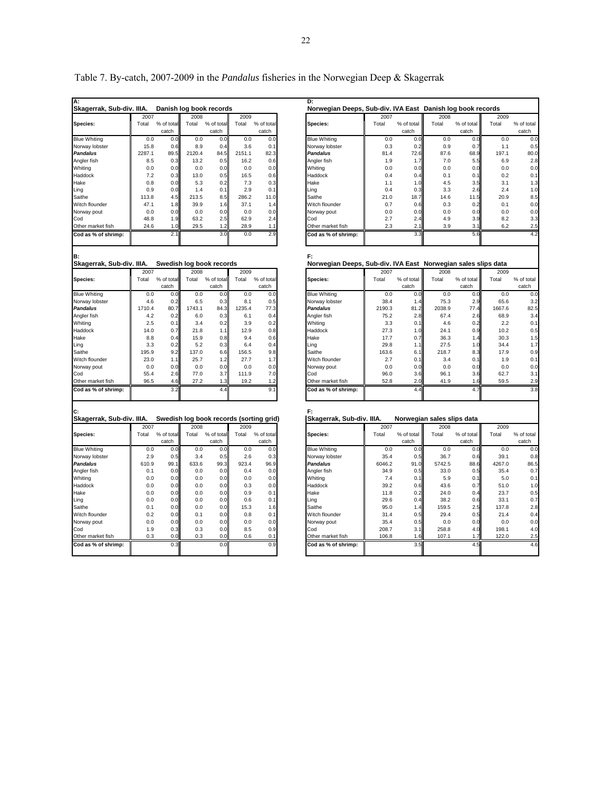| А.                              |        |            |        |                                         |        |            | D:                                                            |        |            |                            |            |        |
|---------------------------------|--------|------------|--------|-----------------------------------------|--------|------------|---------------------------------------------------------------|--------|------------|----------------------------|------------|--------|
| Skagerrak, Sub-div. IIIA.       |        |            |        | Danish log book records                 |        |            | Norwegian Deeps, Sub-div. IVA East Danish log book records    |        |            |                            |            |        |
|                                 | 2007   |            | 2008   |                                         | 2009   |            |                                                               | 2007   |            | 2008                       |            | 2009   |
| Species:                        | Total  | % of total | Total  | % of total                              | Total  | % of tota  | Species:                                                      | Total  | % of total | Total                      | % of total | Total  |
|                                 |        | catch      |        | catch                                   |        | catch      |                                                               |        | catch      |                            | catch      |        |
| <b>Blue Whiting</b>             | 0.0    | 0.0        | 0.0    | 0.0                                     | 0.0    | 0.0        | <b>Blue Whiting</b>                                           | 0.0    | 0.0        | 0.0                        | 0.0        | 0.0    |
| Norway lobster                  | 15.8   | 0.6        | 8.9    | 0.4                                     | 3.6    | 0.1        | Norway lobster                                                | 0.3    | 0.2        | 0.9                        | 0.7        | 1.1    |
| <b>Pandalus</b>                 | 2287.1 | 89.5       | 2120.4 | 84.5                                    | 2151.1 | 82.3       | Pandalus                                                      | 81.4   | 72.6       | 87.6                       | 68.9       | 197.1  |
| Angler fish                     | 8.5    | 0.3        | 13.2   | 0.5                                     | 16.2   | 0.6        | Angler fish                                                   | 1.9    | 1.7        | 7.0                        | 5.5        | 6.9    |
| Whiting                         | 0.0    | 0.0        | 0.0    | 0.0                                     | 0.0    | 0.0        | Whiting                                                       | 0.0    | 0.0        | 0.0                        | 0.0        | 0.0    |
| Haddock                         | 7.2    | 0.3        | 13.0   | 0.5                                     | 16.5   | 0.6        | Haddock                                                       | 0.4    | 0.4        | 0.1                        | 0.1        | 0.2    |
| Hake                            | 0.8    | 0.0        | 5.3    | 0.2                                     | 7.3    | 0.3        | Hake                                                          | 1.1    | 1.0        | 4.5                        | 3.5        | 3.1    |
| Ling                            | 0.9    | 0.0        | 1.4    | 0.1                                     | 2.9    | 0.1        | Ling                                                          | 0.4    | 0.3        | 3.3                        | 2.6        | 2.4    |
| Saithe                          | 113.8  | 4.5        | 213.5  | 8.5                                     | 286.2  | 11.0       | Saithe                                                        | 21.0   | 18.7       | 14.6                       | 11.5       | 20.9   |
| Witch flounder                  | 47.1   | 1.8        | 39.9   | 1.6                                     | 37.1   | 1.4        | Witch flounder                                                | 0.7    | 0.6        | 0.3                        | 0.2        | 0.1    |
| Norway pout                     | 0.0    | 0.0        | 0.0    | 0.0                                     | 0.0    | 0.0        | Norway pout                                                   | 0.0    | 0.0        | 0.0                        | 0.0        | 0.0    |
| Cod                             | 48.8   | 1.9        | 63.2   | 2.5                                     | 62.9   | 2.4        | Cod                                                           | 2.7    | 2.4        | 4.9                        | 3.9        | 8.2    |
| Other market fish               | 24.6   | 1.0        | 29.5   | 1.2                                     | 28.9   | 1.1        | Other market fish                                             | 2.3    | 2.1        | 3.9                        | 3.1        | 6.2    |
| Cod as % of shrimp:             |        | 2.1        |        | 3.0                                     | 0.0    | 2.9        | Cod as % of shrimp:                                           |        | 3.3        |                            | 5.6        |        |
|                                 |        |            |        |                                         |        |            |                                                               |        |            |                            |            |        |
|                                 |        |            |        |                                         |        |            |                                                               |        |            |                            |            |        |
| в.<br>Skagerrak, Sub-div. IIIA. |        |            |        |                                         |        |            | F:                                                            |        |            |                            |            |        |
|                                 |        |            |        | Swedish log book records                |        |            | Norwegian Deeps, Sub-div. IVA East Norwegian sales slips data |        |            |                            |            |        |
|                                 | 2007   |            | 2008   |                                         | 2009   |            |                                                               | 2007   |            | 2008                       |            | 2009   |
| Species:                        | Total  | % of total | Total  | % of total                              | Total  | % of total | Species:                                                      | Total  | % of total | Total                      | % of total | Total  |
|                                 |        | catch      |        | catch                                   |        | catch      |                                                               |        | catch      |                            | catch      |        |
| <b>Blue Whiting</b>             | 0.0    | 0.0        | 0.0    | 0.0                                     | 0.0    | 0.0        | <b>Blue Whiting</b>                                           | 0.0    | 0.0        | 0.0                        | 0.0        | 0.0    |
| Norway lobster                  | 4.6    | 0.2        | 6.5    | 0.3                                     | 8.1    | 0.5        | Norway lobster                                                | 38.4   | 1.4        | 75.3                       | 2.9        | 65.6   |
| <b>Pandalus</b>                 | 1710.4 | 80.7       | 1743.1 | 84.3                                    | 1235.4 | 77.3       | Pandalus                                                      | 2190.3 | 81.2       | 2038.9                     | 77.4       | 1667.6 |
| Angler fish                     | 4.2    | 0.2        | 6.0    | 0.3                                     | 6.1    | 0.4        | Angler fish                                                   | 75.2   | 2.8        | 67.4                       | 2.6        | 68.9   |
| Whiting                         | 2.5    | 0.1        | 3.4    | 0.2                                     | 3.9    | 0.2        | Whiting                                                       | 3.3    | 0.1        | 4.6                        | 0.2        | 2.2    |
| Haddock                         | 14.0   | 0.7        | 21.8   | 1.1                                     | 12.9   | 0.8        | Haddock                                                       | 27.3   | 1.0        | 24.1                       | 0.9        | 10.2   |
| Hake                            | 8.8    | 0.4        | 15.9   | 0.8                                     | 9.4    | 0.6        | Hake                                                          | 17.7   | 0.7        | 36.3                       | 1.4        | 30.3   |
| Ling                            | 3.3    | 0.2        | 5.2    | 0.3                                     | 6.4    | 0.4        | Ling                                                          | 29.8   | 1.1        | 27.5                       | 1.0        | 34.4   |
| Saithe                          | 195.9  | 9.2        | 137.0  | 6.6                                     | 156.5  | 9.8        | Saithe                                                        | 163.6  | 6.1        | 218.7                      | 8.3        | 17.9   |
| Witch flounder                  | 23.0   | 1.1        | 25.7   | 1.2                                     | 27.7   | 1.7        | Witch flounder                                                | 2.7    | 0.1        | 3.4                        | 0.1        | 1.9    |
| Norway pout                     | 0.0    | 0.0        | 0.0    | 0.0                                     | 0.0    | 0.0        | Norway pout                                                   | 0.0    | 0.0        | 0.0                        | 0.0        | 0.0    |
| Cod                             | 55.4   | 2.6        | 77.0   | 3.7                                     | 111.9  | 7.0        | Cod                                                           | 96.0   | 3.6        | 96.1                       | 3.6        | 62.7   |
| Other market fish               | 96.5   | 4.6        | 27.2   | 1.3                                     | 19.2   | 1.2        | Other market fish                                             | 52.8   | 2.0        | 41.9                       | 1.6        | 59.5   |
| Cod as % of shrimp:             |        | 3.2        |        | 4.4                                     |        | 9.1        | Cod as % of shrimp:                                           |        | 4.4        |                            | 4.7        |        |
| C:<br>Skagerrak, Sub-div. IIIA. |        |            |        | Swedish log book records (sorting grid) |        |            | F:<br>Skagerrak, Sub-div. IIIA.                               |        |            | Norwegian sales slips data |            |        |
|                                 | 2007   |            | 2008   |                                         | 2009   |            |                                                               | 2007   |            | 2008                       |            | 2009   |
| Species:                        | Total  | % of total | Total  | % of total                              | Total  | % of total | Species:                                                      | Total  | % of total | Total                      | % of total | Total  |
|                                 |        | catch      |        | catch                                   |        | catch      |                                                               |        | catch      |                            | catch      |        |
| <b>Blue Whiting</b>             | 0.0    | 0.0        | 0.0    | 0.0                                     | 0.0    | 0.0        | <b>Blue Whiting</b>                                           | 0.0    | 0.0        | 0.0                        | 0.0        | 0.0    |
| Norway lobster                  | 2.9    | 0.5        | 3.4    | 0.5                                     | 2.6    | 0.3        | Norway lobster                                                | 35.4   | 0.5        | 36.7                       | 0.6        | 39.1   |
| Pandalus                        | 610.9  | 99.1       | 633.6  | 99.3                                    | 923.4  | 96.9       | Pandalus                                                      | 6046.2 | 91.0       | 5742.5                     | 88.6       | 4267.0 |
| Angler fish                     | 0.1    | 0.0        | 0.0    | 0.0                                     | 0.4    | 0.0        | Angler fish                                                   | 34.9   | 0.5        | 33.0                       | 0.5        | 35.4   |
| Whiting                         | 0.0    | 0.0        | 0.0    | 0.0                                     | 0.0    | 0.0        | Whiting                                                       | 7.4    | 0.1        | 5.9                        | 0.1        | 5.0    |
| Haddock                         | 0.0    | 0.0        | 0.0    | 0.0                                     | 0.3    | 0.0        | Haddock                                                       | 39.2   | 0.6        | 43.6                       | 0.7        | 51.0   |
| Hake                            | 0.0    | 0.0        | 0.0    | 0.0                                     | 0.9    | 0.1        | Hake                                                          | 11.8   | 0.2        | 24.0                       | 0.4        | 23.7   |
| Ling                            | 0.0    | 0.0        | 0.0    | 0.0                                     | 0.6    | 0.1        | Ling                                                          | 29.6   | 0.4        | 38.2                       | 0.6        | 33.1   |
| Saithe                          | 0.1    | 0.0        | 0.0    | 0.0                                     | 15.3   | 1.6        | Saithe                                                        | 95.0   | 1.4        | 159.5                      | 2.5        | 137.8  |
| Witch flounder                  | 0.2    | 0.0        | 0.1    | 0.0                                     | 0.8    | 0.1        | Witch flounder                                                | 31.4   | 0.5        | 29.4                       | 0.5        | 21.4   |
| Norway pout                     | 0.0    | 0.0        | 0.0    | 0.0                                     | 0.0    | 0.0        | Norway pout                                                   | 35.4   | 0.5        | 0.0                        | 0.0        | 0.0    |
| Cod                             | 1.9    | 0.3        | 0.3    | 0.0                                     | 8.5    | 0.9        | Cod                                                           | 208.7  | 3.1        | 258.8                      | 4.0        | 198.1  |
| Other market fish               | 0.3    | 0.0        | 0.3    | 0.0                                     | 0.6    | 0.1        | Other market fish                                             | 106.8  | 1.6        | 107.1                      | 1.7        | 122.0  |
| Cod as % of shrimp:             |        | 0.3        |        | 0.0                                     |        | 0.9        | Cod as % of shrimp:                                           |        | 3.5        |                            | 4.5        |        |
|                                 |        |            |        |                                         |        |            |                                                               |        |            |                            |            |        |

| A:                        |        |            |        |                         |        |            | D:                                                         |       |            |       |            |       |            |
|---------------------------|--------|------------|--------|-------------------------|--------|------------|------------------------------------------------------------|-------|------------|-------|------------|-------|------------|
| Skagerrak, Sub-div. IIIA. |        |            |        | Danish log book records |        |            | Norwegian Deeps, Sub-div. IVA East Danish log book records |       |            |       |            |       |            |
|                           | 2007   |            | 2008   |                         | 2009   |            |                                                            | 2007  |            | 2008  |            | 2009  |            |
| Species:                  | Total  | % of total | Total  | % of total              | Total  | % of total | Species:                                                   | Total | % of total | Total | % of total | Total | % of total |
|                           |        | catch      |        | catch                   |        | catch      |                                                            |       | catch      |       | catch      |       | catch      |
| <b>Blue Whiting</b>       | 0.0    | 0.0        | 0.0    | 0.0                     | 0.0    | 0.0        | <b>Blue Whiting</b>                                        | 0.0   | 0.0        | 0.0   | 0.0        | 0.0   | 0.0        |
| Norway lobster            | 15.8   | 0.6        | 8.9    | 0.4                     | 3.6    | 0.1        | Norway lobster                                             | 0.3   | 0.2        | 0.9   | 0.7        | 1.1   | 0.5        |
| Pandalus                  | 2287.1 | 89.5       | 2120.4 | 84.5                    | 2151.1 | 82.3       | Pandalus                                                   | 81.4  | 72.6       | 87.6  | 68.9       | 197.1 | 80.0       |
| Angler fish               | 8.5    | 0.3        | 13.2   | 0.5                     | 16.2   | 0.6        | Angler fish                                                | 1.9   | 1.7        | 7.0   | 5.5        | 6.9   | 2.8        |
| Whiting                   | 0.0    | 0.0        | 0.0    | 0.0                     | 0.0    | 0.0        | Whiting                                                    | 0.0   | 0.0        | 0.0   | 0.0        | 0.0   | 0.0        |
| Haddock                   | 7.2    | 0.3        | 13.0   | 0.5                     | 16.5   | 0.6        | Haddock                                                    | 0.4   | 0.4        | 0.1   | 0.1        | 0.2   | 0.1        |
| Hake                      | 0.8    | 0.0        | 5.3    | 0.2                     | 7.3    | 0.3        | Hake                                                       | 1.1   | 1.0        | 4.5   | 3.5        | 3.1   | 1.3        |
| Ling                      | 0.9    | 0.0        | 1.4    | 0.1                     | 2.9    | 0.1        | Ling                                                       | 0.4   | 0.3        | 3.3   | 2.6        | 2.4   | 1.0        |
| Saithe                    | 113.8  | 4.5        | 213.5  | 8.5                     | 286.2  | 11.0       | Saithe                                                     | 21.0  | 18.7       | 14.6  | 11.5       | 20.9  | 8.5        |
| Witch flounder            | 47.1   | 1.8        | 39.9   | 1.6                     | 37.1   | 1.4        | Witch flounder                                             | 0.7   | 0.6        | 0.3   | 0.2        | 0.1   | 0.0        |
| Norway pout               | 0.0    | 0.0        | 0.0    | 0.0                     | 0.0    | 0.0        | Norway pout                                                | 0.0   | 0.0        | 0.0   | 0.0        | 0.0   | 0.0        |
| Cod                       | 48.8   | 1.9        | 63.2   | 2.5                     | 62.9   | 2.4        | Cod                                                        | 2.7   | 2.4        | 4.9   | 3.9        | 8.2   | 3.3        |
| Other market fish         | 24.6   | 1.0        | 29.5   | 1.2                     | 28.9   | 1.1        | Other market fish                                          | 2.3   | 2.1        | 3.9   | 3.1        | 6.2   | 2.5        |
| Cod as % of shrimp:       |        | 2.1        |        | 3.0                     | 0.0    | 2.9        | Cod as % of shrimp:                                        |       | 3.3        |       | 5.6        |       | 4.2        |
|                           |        |            |        |                         |        |            |                                                            |       |            |       |            |       |            |
|                           |        |            |        |                         |        |            |                                                            |       |            |       |            |       |            |

|                     |        |                  | ີ      |                  |        |            | $\cdot$<br>$\cdots$ |        |            | ີ      |            |        |            |
|---------------------|--------|------------------|--------|------------------|--------|------------|---------------------|--------|------------|--------|------------|--------|------------|
|                     | 2007   |                  | 2008   |                  | 2009   |            |                     | 2007   |            | 2008   |            | 2009   |            |
| Species:            | Total  | % of total       | Total  | % of total       | Total  | % of total | Species:            | Total  | % of total | Total  | % of total | Total  | % of total |
|                     |        | catch            |        | catch            |        | catch      |                     |        | catch      |        | catch      |        | catch      |
| <b>Blue Whiting</b> | 0.0    | 0.0              | 0.0    | 0.0              | 0.0    | 0.0        | <b>Blue Whiting</b> | 0.0    | 0.0        | 0.0    | 0.0        | 0.0    | 0.0        |
| Norway lobster      | 4.6    | 0.2              | 6.5    | 0.3 <sub>1</sub> | 8.1    | 0.5        | Norway lobster      | 38.4   | 1.4        | 75.3   | 2.9        | 65.6   | 3.2        |
| Pandalus            | 1710.4 | 80.7             | 1743.1 | 84.3             | 1235.4 | 77.3       | <b>Pandalus</b>     | 2190.3 | 81.2       | 2038.9 | 77.4       | 1667.6 | 82.5       |
| Angler fish         | 4.2    | 0.2              | 6.0    | 0.3              | 6.1    | 0.4        | Angler fish         | 75.2   | 2.8        | 67.4   | 2.6        | 68.9   | 3.4        |
| Whiting             | 2.5    | 0.1              | 3.4    | 0.2              | 3.9    | 0.2        | Whiting             | 3.3    | 0.1        | 4.6    | 0.2        | 2.2    | 0.1        |
| Haddock             | 14.0   | 0.7              | 21.8   | 1.1              | 12.9   | 0.8        | Haddock             | 27.3   | 1.0        | 24.1   | 0.9        | 10.2   | 0.5        |
| Hake                | 8.8    | 0.4              | 15.9   | 0.8 <sub>1</sub> | 9.4    | 0.6        | Hake                | 17.7   | 0.7        | 36.3   | 1.4        | 30.3   | 1.5        |
| Ling                | 3.3    | 0.2              | 5.2    | 0.3              | 6.4    | 0.4        | Ling                | 29.8   | 1.1        | 27.5   | 1.0        | 34.4   | 1.7        |
| Saithe              | 195.9  | 9.2 <sub>h</sub> | 137.0  | 6.6              | 156.5  | 9.8        | Saithe              | 163.6  | 6.1        | 218.7  | 8.3        | 17.9   | 0.9        |
| Witch flounder      | 23.0   | 1.1h             | 25.7   | 1.2              | 27.7   | 1.7        | Witch flounder      | 2.7    | 0.1        | 3.4    | 0.1        | 1.9    | 0.1        |
| Norway pout         | 0.0    | 0.0              | 0.0    | 0.0              | 0.0    | 0.0        | Norway pout         | 0.0    | 0.0        | 0.0    | 0.0        | 0.0    | 0.0        |
| Cod                 | 55.4   | 2.6              | 77.0   | 3.7              | 111.9  | 7.0        | Cod                 | 96.0   | 3.6        | 96.1   | 3.6        | 62.7   | 3.1        |
| Other market fish   | 96.5   | 4.6              | 27.2   | 1.3              | 19.2   | 1.2        | Other market fish   | 52.8   | 2.0        | 41.9   | .61        | 59.5   | 2.9        |
| Cod as % of shrimp: |        | 3.2              |        | 4.4              |        | 9.1        | Cod as % of shrimp: |        | 4.4        |        | 4.7        |        | 3.8        |
|                     |        |                  |        |                  |        |            |                     |        |            |        |            |        |            |

# F:<br><mark>Skagerrak, Sub-div. IIIA. Norwegian sales slips data</mark>

|                     | 2007  |            | 2008  |            | 2009  |            |                     | 2007   |            | 2008   |                  | 2009   |            |
|---------------------|-------|------------|-------|------------|-------|------------|---------------------|--------|------------|--------|------------------|--------|------------|
| Species:            | Total | % of total | Total | % of total | Total | % of total | Species:            | Total  | % of total | Total  | % of total       | Total  | % of total |
|                     |       | catch      |       | catch      |       | catch      |                     |        | catch      |        | catch            |        | catch      |
| <b>Blue Whiting</b> | 0.0   | 0.0        | 0.0   | 0.0        | 0.0   | 0.0        | <b>Blue Whiting</b> | 0.0    | 0.0        | 0.0    | 0.0              | 0.0    | 0.0        |
| Norway lobster      | 2.9   | 0.5        | 3.4   | 0.5        | 2.6   | 0.3        | Norway lobster      | 35.4   | 0.5        | 36.7   | 0.6              | 39.1   | 0.8        |
| Pandalus            | 610.9 | 99.1       | 633.6 | 99.3       | 923.4 | 96.9       | <b>Pandalus</b>     | 6046.2 | 91.0       | 5742.5 | 88.6             | 4267.0 | 86.5       |
| Angler fish         | 0.1   | 0.0        | 0.0   | 0.0        | 0.4   | 0.0        | Angler fish         | 34.9   | 0.5        | 33.0   | 0.5              | 35.4   | 0.7        |
| Whiting             | 0.0   | 0.0        | 0.0   | 0.0        | 0.0   | 0.0        | Whiting             | 7.4    | 0.1        | 5.9    | 0.1              | 5.0    | 0.1        |
| Haddock             | 0.0   | 0.0        | 0.0   | 0.0        | 0.3   | 0.0        | Haddock             | 39.2   | 0.6        | 43.6   | 0.7              | 51.0   | 1.0        |
| Hake                | 0.0   | 0.0        | 0.0   | 0.0        | 0.9   | 0.1        | Hake                | 11.8   | 0.2        | 24.0   | 0.4              | 23.7   | 0.5        |
| Ling                | 0.0   | 0.0        | 0.0   | 0.0        | 0.6   | 0.1        | Ling                | 29.6   | 0.4        | 38.2   | 0.6              | 33.1   | 0.7        |
| Saithe              | 0.1   | 0.0        | 0.0   | 0.0        | 15.3  | 1.6        | Saithe              | 95.0   | 1.4        | 159.5  | 2.5              | 137.8  | 2.8        |
| Witch flounder      | 0.2   | 0.0        | 0.1   | 0.0        | 0.8   | 0.1        | Witch flounder      | 31.4   | 0.5        | 29.4   | 0.5              | 21.4   | 0.4        |
| Norway pout         | 0.0   | 0.0        | 0.0   | 0.0        | 0.0   | 0.0        | Norway pout         | 35.4   | 0.5        | 0.0    | 0.0              | 0.0    | 0.0        |
| Cod                 | 1.9   | 0.3        | 0.3   | 0.0        | 8.5   | 0.9        | Cod                 | 208.7  | 3.1        | 258.8  | 4.0              | 198.1  | 4.0        |
| Other market fish   | 0.3   | 0.0        | 0.3   | 0.0        | 0.6   | 0.1        | Other market fish   | 106.8  | 1.6        | 107.1  | 1.7 <sub>1</sub> | 122.0  | 2.5        |
| Cod as % of shrimp: |       | 0.3        |       | 0.0        |       | 0.9        | Cod as % of shrimp: |        | 3.5        |        | 4.5              |        | 4.6        |
|                     |       |            |       |            |       |            |                     |        |            |        |                  |        |            |

## Table 7. By-catch, 2007-2009 in the *Pandalus* fisheries in the Norwegian Deep & Skagerrak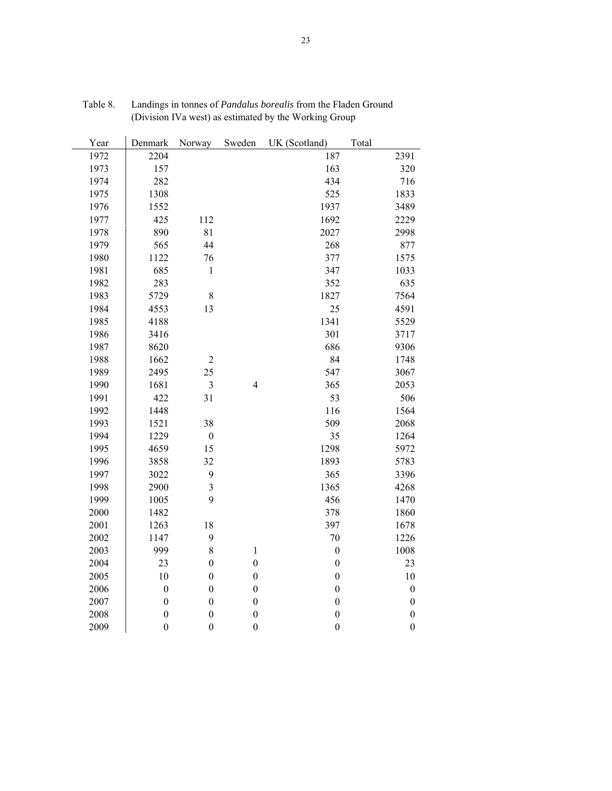| Year | Denmark          | Norway                  | Sweden                   | UK (Scotland)    | Total            |
|------|------------------|-------------------------|--------------------------|------------------|------------------|
| 1972 | 2204             |                         |                          | 187              | 2391             |
| 1973 | 157              |                         |                          | 163              | 320              |
| 1974 | 282              |                         |                          | 434              | 716              |
| 1975 | 1308             |                         |                          | 525              | 1833             |
| 1976 | 1552             |                         |                          | 1937             | 3489             |
| 1977 | 425              | 112                     |                          | 1692             | 2229             |
| 1978 | 890              | 81                      |                          | 2027             | 2998             |
| 1979 | 565              | 44                      |                          | 268              | 877              |
| 1980 | 1122             | 76                      |                          | 377              | 1575             |
| 1981 | 685              | $\mathbf{1}$            |                          | 347              | 1033             |
| 1982 | 283              |                         |                          | 352              | 635              |
| 1983 | 5729             | 8                       |                          | 1827             | 7564             |
| 1984 | 4553             | 13                      |                          | 25               | 4591             |
| 1985 | 4188             |                         |                          | 1341             | 5529             |
| 1986 | 3416             |                         |                          | 301              | 3717             |
| 1987 | 8620             |                         |                          | 686              | 9306             |
| 1988 | 1662             | $\overline{c}$          |                          | 84               | 1748             |
| 1989 | 2495             | 25                      |                          | 547              | 3067             |
| 1990 | 1681             | 3                       | $\overline{\mathcal{L}}$ | 365              | 2053             |
| 1991 | 422              | 31                      |                          | 53               | 506              |
| 1992 | 1448             |                         |                          | 116              | 1564             |
| 1993 | 1521             | 38                      |                          | 509              | 2068             |
| 1994 | 1229             | $\boldsymbol{0}$        |                          | 35               | 1264             |
| 1995 | 4659             | 15                      |                          | 1298             | 5972             |
| 1996 | 3858             | 32                      |                          | 1893             | 5783             |
| 1997 | 3022             | 9                       |                          | 365              | 3396             |
| 1998 | 2900             | $\overline{\mathbf{3}}$ |                          | 1365             | 4268             |
| 1999 | 1005             | 9                       |                          | 456              | 1470             |
| 2000 | 1482             |                         |                          | 378              | 1860             |
| 2001 | 1263             | 18                      |                          | 397              | 1678             |
| 2002 | 1147             | 9                       |                          | 70               | 1226             |
| 2003 | 999              | 8                       | $\,1$                    | $\boldsymbol{0}$ | 1008             |
| 2004 | 23               | $\boldsymbol{0}$        | $\boldsymbol{0}$         | $\boldsymbol{0}$ | 23               |
| 2005 | 10               | $\boldsymbol{0}$        | $\boldsymbol{0}$         | $\boldsymbol{0}$ | 10               |
| 2006 | $\boldsymbol{0}$ | $\boldsymbol{0}$        | $\boldsymbol{0}$         | $\boldsymbol{0}$ | $\boldsymbol{0}$ |
| 2007 | $\boldsymbol{0}$ | $\boldsymbol{0}$        | $\boldsymbol{0}$         | $\boldsymbol{0}$ | $\boldsymbol{0}$ |
| 2008 | $\overline{0}$   | $\overline{0}$          | $\boldsymbol{0}$         | $\boldsymbol{0}$ | $\boldsymbol{0}$ |
| 2009 | $\boldsymbol{0}$ | $\boldsymbol{0}$        | $\boldsymbol{0}$         | $\boldsymbol{0}$ | $\boldsymbol{0}$ |

| Table 8. | Landings in tonnes of <i>Pandalus borealis</i> from the Fladen Ground |
|----------|-----------------------------------------------------------------------|
|          | (Division IVa west) as estimated by the Working Group                 |